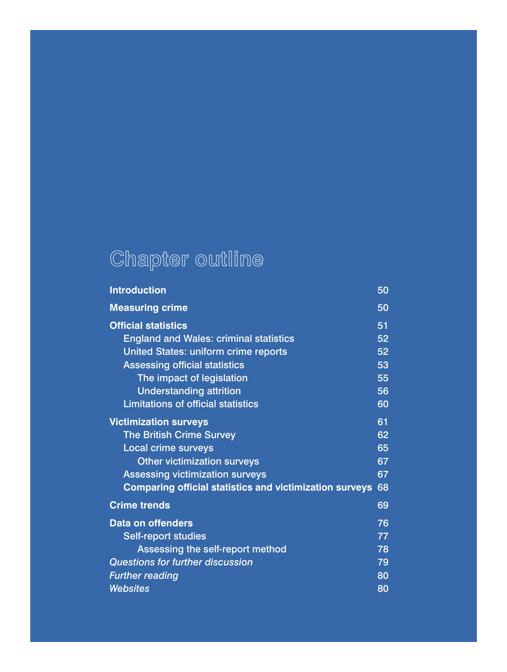## **Chapter outline**

| <b>Introduction</b>                                            | 50 |
|----------------------------------------------------------------|----|
| <b>Measuring crime</b>                                         | 50 |
| <b>Official statistics</b>                                     | 51 |
| <b>England and Wales: criminal statistics</b>                  | 52 |
| <b>United States: uniform crime reports</b>                    | 52 |
| <b>Assessing official statistics</b>                           | 53 |
| The impact of legislation                                      | 55 |
| <b>Understanding attrition</b>                                 | 56 |
| <b>Limitations of official statistics</b>                      | 60 |
| <b>Victimization surveys</b>                                   | 61 |
| <b>The British Crime Survey</b>                                | 62 |
| <b>Local crime surveys</b>                                     | 65 |
| <b>Other victimization surveys</b>                             | 67 |
| <b>Assessing victimization surveys</b>                         | 67 |
| <b>Comparing official statistics and victimization surveys</b> | 68 |
| <b>Crime trends</b>                                            | 69 |
| <b>Data on offenders</b>                                       | 76 |
| <b>Self-report studies</b>                                     | 77 |
| Assessing the self-report method                               | 78 |
| <b>Questions for further discussion</b>                        | 79 |
| <b>Further reading</b>                                         | 80 |
| <b>Websites</b>                                                | 80 |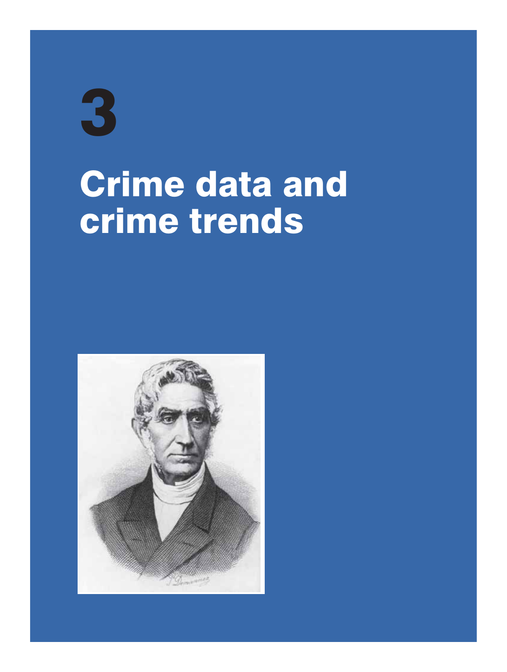# 3 Crime data and crime trends

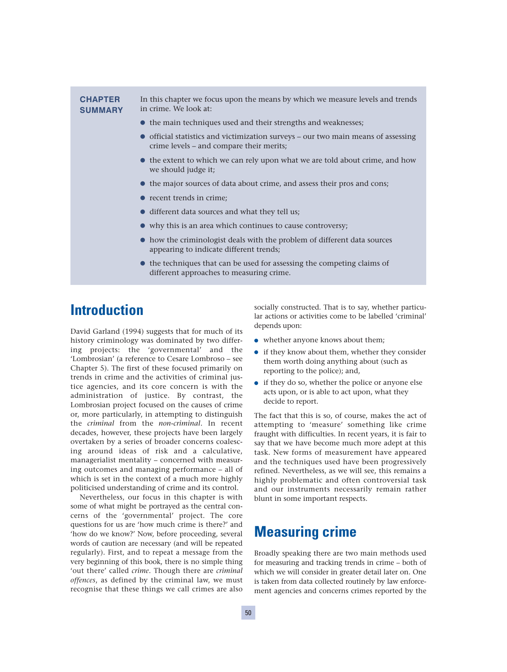| <b>CHAPTER</b><br><b>SUMMARY</b> | In this chapter we focus upon the means by which we measure levels and trends<br>in crime. We look at:                                |
|----------------------------------|---------------------------------------------------------------------------------------------------------------------------------------|
|                                  | • the main techniques used and their strengths and weaknesses;                                                                        |
|                                  | $\bullet$ official statistics and victimization surveys – our two main means of assessing<br>crime levels – and compare their merits; |
|                                  | • the extent to which we can rely upon what we are told about crime, and how<br>we should judge it;                                   |
|                                  | • the major sources of data about crime, and assess their pros and cons;                                                              |
|                                  | • recent trends in crime;                                                                                                             |
|                                  | • different data sources and what they tell us;                                                                                       |
|                                  | • why this is an area which continues to cause controversy;                                                                           |
|                                  | • how the criminologist deals with the problem of different data sources<br>appearing to indicate different trends;                   |
|                                  | • the techniques that can be used for assessing the competing claims of<br>different approaches to measuring crime.                   |
|                                  |                                                                                                                                       |

## **Introduction**

David Garland (1994) suggests that for much of its history criminology was dominated by two differing projects: the 'governmental' and the 'Lombrosian' (a reference to Cesare Lombroso – see Chapter 5). The first of these focused primarily on trends in crime and the activities of criminal justice agencies, and its core concern is with the administration of justice. By contrast, the Lombrosian project focused on the causes of crime or, more particularly, in attempting to distinguish the *criminal* from the *non-criminal*. In recent decades, however, these projects have been largely overtaken by a series of broader concerns coalescing around ideas of risk and a calculative, managerialist mentality – concerned with measuring outcomes and managing performance – all of which is set in the context of a much more highly politicised understanding of crime and its control.

Nevertheless, our focus in this chapter is with some of what might be portrayed as the central concerns of the 'governmental' project. The core questions for us are 'how much crime is there?' and 'how do we know?' Now, before proceeding, several words of caution are necessary (and will be repeated regularly). First, and to repeat a message from the very beginning of this book, there is no simple thing 'out there' called *crime*. Though there are *criminal offences*, as defined by the criminal law, we must recognise that these things we call crimes are also

socially constructed. That is to say, whether particular actions or activities come to be labelled 'criminal' depends upon:

- whether anyone knows about them;
- if they know about them, whether they consider them worth doing anything about (such as reporting to the police); and,
- if they do so, whether the police or anyone else acts upon, or is able to act upon, what they decide to report.

The fact that this is so, of course, makes the act of attempting to 'measure' something like crime fraught with difficulties. In recent years, it is fair to say that we have become much more adept at this task. New forms of measurement have appeared and the techniques used have been progressively refined. Nevertheless, as we will see, this remains a highly problematic and often controversial task and our instruments necessarily remain rather blunt in some important respects.

## **Measuring crime**

Broadly speaking there are two main methods used for measuring and tracking trends in crime – both of which we will consider in greater detail later on. One is taken from data collected routinely by law enforcement agencies and concerns crimes reported by the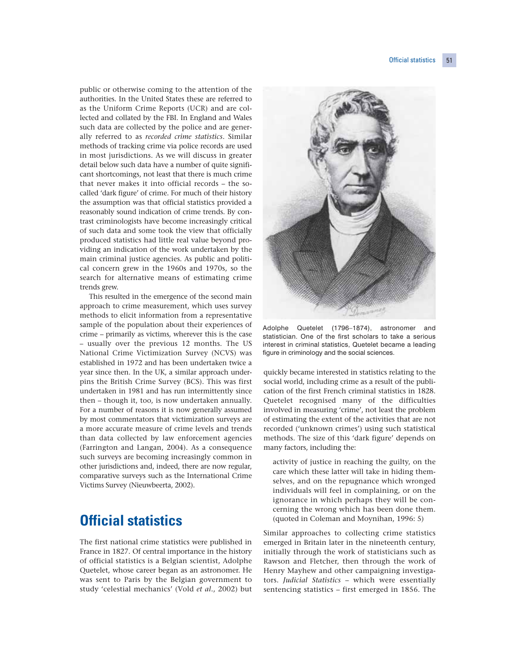public or otherwise coming to the attention of the authorities. In the United States these are referred to as the Uniform Crime Reports (UCR) and are collected and collated by the FBI. In England and Wales such data are collected by the police and are generally referred to as *recorded crime statistics*. Similar methods of tracking crime via police records are used in most jurisdictions. As we will discuss in greater detail below such data have a number of quite significant shortcomings, not least that there is much crime that never makes it into official records – the socalled 'dark figure' of crime. For much of their history the assumption was that official statistics provided a reasonably sound indication of crime trends. By contrast criminologists have become increasingly critical of such data and some took the view that officially produced statistics had little real value beyond providing an indication of the work undertaken by the main criminal justice agencies. As public and political concern grew in the 1960s and 1970s, so the search for alternative means of estimating crime trends grew.

This resulted in the emergence of the second main approach to crime measurement, which uses survey methods to elicit information from a representative sample of the population about their experiences of crime – primarily as victims, wherever this is the case – usually over the previous 12 months. The US National Crime Victimization Survey (NCVS) was established in 1972 and has been undertaken twice a year since then. In the UK, a similar approach underpins the British Crime Survey (BCS). This was first undertaken in 1981 and has run intermittently since then – though it, too, is now undertaken annually. For a number of reasons it is now generally assumed by most commentators that victimization surveys are a more accurate measure of crime levels and trends than data collected by law enforcement agencies (Farrington and Langan, 2004). As a consequence such surveys are becoming increasingly common in other jurisdictions and, indeed, there are now regular, comparative surveys such as the International Crime Victims Survey (Nieuwbeerta, 2002).

## **Official statistics**

The first national crime statistics were published in France in 1827. Of central importance in the history of official statistics is a Belgian scientist, Adolphe Quetelet, whose career began as an astronomer. He was sent to Paris by the Belgian government to study 'celestial mechanics' (Vold *et al.*, 2002) but



Adolphe Quetelet (1796–1874), astronomer and statistician. One of the first scholars to take a serious interest in criminal statistics, Quetelet became a leading figure in criminology and the social sciences.

quickly became interested in statistics relating to the social world, including crime as a result of the publication of the first French criminal statistics in 1828. Quetelet recognised many of the difficulties involved in measuring 'crime', not least the problem of estimating the extent of the activities that are not recorded ('unknown crimes') using such statistical methods. The size of this 'dark figure' depends on many factors, including the:

activity of justice in reaching the guilty, on the care which these latter will take in hiding themselves, and on the repugnance which wronged individuals will feel in complaining, or on the ignorance in which perhaps they will be concerning the wrong which has been done them. (quoted in Coleman and Moynihan, 1996: 5)

Similar approaches to collecting crime statistics emerged in Britain later in the nineteenth century, initially through the work of statisticians such as Rawson and Fletcher, then through the work of Henry Mayhew and other campaigning investigators. *Judicial Statistics* – which were essentially sentencing statistics – first emerged in 1856. The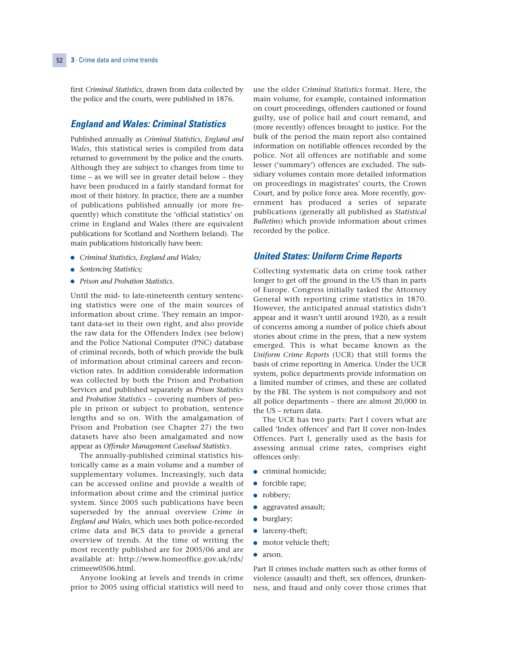first *Criminal Statistics,* drawn from data collected by the police and the courts, were published in 1876.

#### **England and Wales: Criminal Statistics**

Published annually as *Criminal Statistics, England and Wales*, this statistical series is compiled from data returned to government by the police and the courts. Although they are subject to changes from time to time – as we will see in greater detail below – they have been produced in a fairly standard format for most of their history. In practice, there are a number of publications published annually (or more frequently) which constitute the 'official statistics' on crime in England and Wales (there are equivalent publications for Scotland and Northern Ireland). The main publications historically have been:

- *Criminal Statistics, England and Wales;*
- *Sentencing Statistics;*
- *Prison and Probation Statistics.*

Until the mid- to late-nineteenth century sentencing statistics were one of the main sources of information about crime. They remain an important data-set in their own right, and also provide the raw data for the Offenders Index (see below) and the Police National Computer (PNC) database of criminal records, both of which provide the bulk of information about criminal careers and reconviction rates. In addition considerable information was collected by both the Prison and Probation Services and published separately as *Prison Statistics* and *Probation Statistics* – covering numbers of people in prison or subject to probation, sentence lengths and so on. With the amalgamation of Prison and Probation (see Chapter 27) the two datasets have also been amalgamated and now appear as *Offender Management Caseload Statistics*.

The annually-published criminal statistics historically came as a main volume and a number of supplementary volumes. Increasingly, such data can be accessed online and provide a wealth of information about crime and the criminal justice system. Since 2005 such publications have been superseded by the annual overview *Crime in England and Wales*, which uses both police-recorded crime data and BCS data to provide a general overview of trends. At the time of writing the most recently published are for 2005/06 and are available at: http://www.homeoffice.gov.uk/rds/ crimeew0506.html.

Anyone looking at levels and trends in crime prior to 2005 using official statistics will need to use the older *Criminal Statistics* format. Here, the main volume, for example, contained information on court proceedings, offenders cautioned or found guilty, use of police bail and court remand, and (more recently) offences brought to justice. For the bulk of the period the main report also contained information on notifiable offences recorded by the police. Not all offences are notifiable and some lesser ('summary') offences are excluded. The subsidiary volumes contain more detailed information on proceedings in magistrates' courts, the Crown Court, and by police force area. More recently, government has produced a series of separate publications (generally all published as *Statistical Bulletins*) which provide information about crimes recorded by the police.

#### **United States: Uniform Crime Reports**

Collecting systematic data on crime took rather longer to get off the ground in the US than in parts of Europe. Congress initially tasked the Attorney General with reporting crime statistics in 1870. However, the anticipated annual statistics didn't appear and it wasn't until around 1920, as a result of concerns among a number of police chiefs about stories about crime in the press, that a new system emerged. This is what became known as the *Uniform Crime Reports* (UCR) that still forms the basis of crime reporting in America. Under the UCR system, police departments provide information on a limited number of crimes, and these are collated by the FBI. The system is not compulsory and not all police departments – there are almost 20,000 in the US – return data.

The UCR has two parts: Part I covers what are called 'Index offences' and Part II cover non-Index Offences. Part I, generally used as the basis for assessing annual crime rates, comprises eight offences only:

- criminal homicide;
- forcible rape;
- robbery;
- aggravated assault;
- burglary;
- larceny-theft;
- motor vehicle theft;
- arson.

Part II crimes include matters such as other forms of violence (assault) and theft, sex offences, drunkenness, and fraud and only cover those crimes that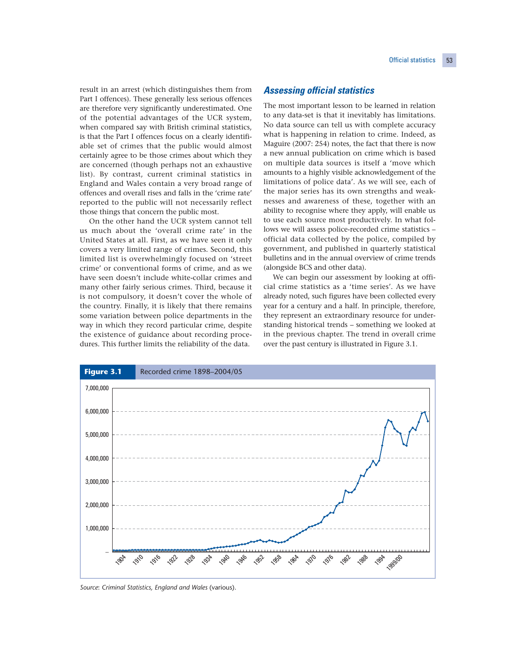result in an arrest (which distinguishes them from Part I offences). These generally less serious offences are therefore very significantly underestimated. One of the potential advantages of the UCR system, when compared say with British criminal statistics, is that the Part I offences focus on a clearly identifiable set of crimes that the public would almost certainly agree to be those crimes about which they are concerned (though perhaps not an exhaustive list). By contrast, current criminal statistics in England and Wales contain a very broad range of offences and overall rises and falls in the 'crime rate' reported to the public will not necessarily reflect those things that concern the public most.

On the other hand the UCR system cannot tell us much about the 'overall crime rate' in the United States at all. First, as we have seen it only covers a very limited range of crimes. Second, this limited list is overwhelmingly focused on 'street crime' or conventional forms of crime, and as we have seen doesn't include white-collar crimes and many other fairly serious crimes. Third, because it is not compulsory, it doesn't cover the whole of the country. Finally, it is likely that there remains some variation between police departments in the way in which they record particular crime, despite the existence of guidance about recording procedures. This further limits the reliability of the data.

#### **Assessing official statistics**

The most important lesson to be learned in relation to any data-set is that it inevitably has limitations. No data source can tell us with complete accuracy what is happening in relation to crime. Indeed, as Maguire (2007: 254) notes, the fact that there is now a new annual publication on crime which is based on multiple data sources is itself a 'move which amounts to a highly visible acknowledgement of the limitations of police data'. As we will see, each of the major series has its own strengths and weaknesses and awareness of these, together with an ability to recognise where they apply, will enable us to use each source most productively. In what follows we will assess police-recorded crime statistics – official data collected by the police, compiled by government, and published in quarterly statistical bulletins and in the annual overview of crime trends (alongside BCS and other data).

We can begin our assessment by looking at official crime statistics as a 'time series'. As we have already noted, such figures have been collected every year for a century and a half. In principle, therefore, they represent an extraordinary resource for understanding historical trends – something we looked at in the previous chapter. The trend in overall crime over the past century is illustrated in Figure 3.1.



*Source*: *Criminal Statistics, England and Wales* (various).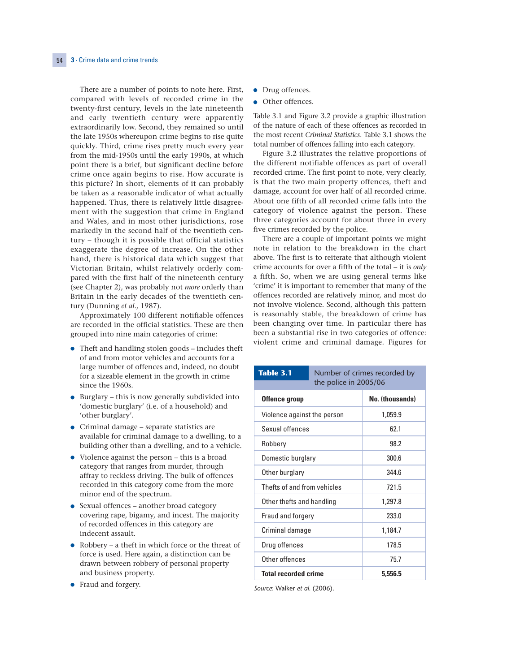There are a number of points to note here. First, compared with levels of recorded crime in the twenty-first century, levels in the late nineteenth and early twentieth century were apparently extraordinarily low. Second, they remained so until the late 1950s whereupon crime begins to rise quite quickly. Third, crime rises pretty much every year from the mid-1950s until the early 1990s, at which point there is a brief, but significant decline before crime once again begins to rise. How accurate is this picture? In short, elements of it can probably be taken as a reasonable indicator of what actually happened. Thus, there is relatively little disagreement with the suggestion that crime in England and Wales, and in most other jurisdictions, rose markedly in the second half of the twentieth century – though it is possible that official statistics exaggerate the degree of increase. On the other hand, there is historical data which suggest that Victorian Britain, whilst relatively orderly compared with the first half of the nineteenth century (see Chapter 2), was probably not *more* orderly than Britain in the early decades of the twentieth century (Dunning *et al.*, 1987).

Approximately 100 different notifiable offences are recorded in the official statistics. These are then grouped into nine main categories of crime:

- Theft and handling stolen goods includes theft of and from motor vehicles and accounts for a large number of offences and, indeed, no doubt for a sizeable element in the growth in crime since the 1960s.
- $\bullet$  Burglary this is now generally subdivided into 'domestic burglary' (i.e. of a household) and 'other burglary'.
- Criminal damage separate statistics are available for criminal damage to a dwelling, to a building other than a dwelling, and to a vehicle.
- Violence against the person this is a broad category that ranges from murder, through affray to reckless driving. The bulk of offences recorded in this category come from the more minor end of the spectrum.
- Sexual offences another broad category covering rape, bigamy, and incest. The majority of recorded offences in this category are indecent assault.
- Robbery a theft in which force or the threat of force is used. Here again, a distinction can be drawn between robbery of personal property and business property.
- Fraud and forgery.
- Drug offences.
- Other offences.

Table 3.1 and Figure 3.2 provide a graphic illustration of the nature of each of these offences as recorded in the most recent *Criminal Statistics*. Table 3.1 shows the total number of offences falling into each category.

Figure 3.2 illustrates the relative proportions of the different notifiable offences as part of overall recorded crime. The first point to note, very clearly, is that the two main property offences, theft and damage, account for over half of all recorded crime. About one fifth of all recorded crime falls into the category of violence against the person. These three categories account for about three in every five crimes recorded by the police.

There are a couple of important points we might note in relation to the breakdown in the chart above. The first is to reiterate that although violent crime accounts for over a fifth of the total – it is *only* a fifth. So, when we are using general terms like 'crime' it is important to remember that many of the offences recorded are relatively minor, and most do not involve violence. Second, although this pattern is reasonably stable, the breakdown of crime has been changing over time. In particular there has been a substantial rise in two categories of offence: violent crime and criminal damage. Figures for

| Table 3.1<br>Number of crimes recorded by<br>the police in 2005/06 |         |                 |  |  |
|--------------------------------------------------------------------|---------|-----------------|--|--|
| Offence group                                                      |         | No. (thousands) |  |  |
| Violence against the person                                        |         | 1,059.9         |  |  |
| Sexual offences                                                    | 62.1    |                 |  |  |
| Robbery                                                            | 98.2    |                 |  |  |
| Domestic burglary                                                  | 300.6   |                 |  |  |
| Other burglary                                                     | 344.6   |                 |  |  |
| Thefts of and from vehicles                                        | 721.5   |                 |  |  |
| Other thefts and handling                                          | 1,297.8 |                 |  |  |
| Fraud and forgery                                                  | 233.0   |                 |  |  |
| Criminal damage                                                    | 1,184.7 |                 |  |  |
| Drug offences                                                      | 178.5   |                 |  |  |
| Other offences                                                     | 75.7    |                 |  |  |
| <b>Total recorded crime</b>                                        |         | 5,556.5         |  |  |

*Source*: Walker *et al.* (2006).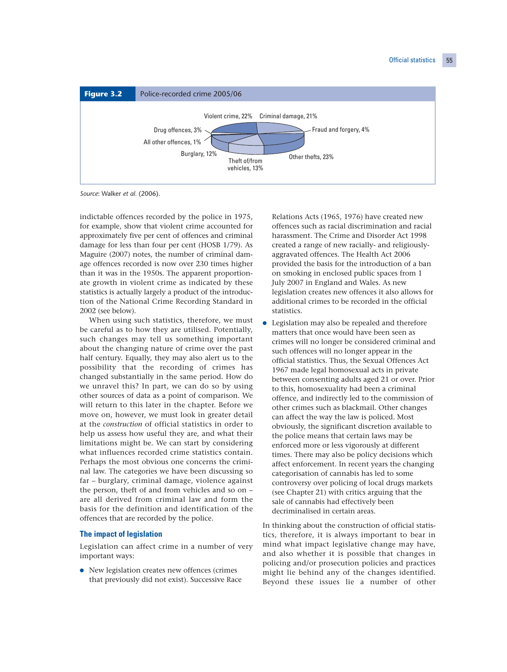

*Source*: Walker *et al.* (2006).

indictable offences recorded by the police in 1975, for example, show that violent crime accounted for approximately five per cent of offences and criminal damage for less than four per cent (HOSB 1/79). As Maguire (2007) notes, the number of criminal damage offences recorded is now over 230 times higher than it was in the 1950s. The apparent proportionate growth in violent crime as indicated by these statistics is actually largely a product of the introduction of the National Crime Recording Standard in 2002 (see below).

When using such statistics, therefore, we must be careful as to how they are utilised. Potentially, such changes may tell us something important about the changing nature of crime over the past half century. Equally, they may also alert us to the possibility that the recording of crimes has changed substantially in the same period. How do we unravel this? In part, we can do so by using other sources of data as a point of comparison. We will return to this later in the chapter. Before we move on, however, we must look in greater detail at the *construction* of official statistics in order to help us assess how useful they are, and what their limitations might be. We can start by considering what influences recorded crime statistics contain. Perhaps the most obvious one concerns the criminal law. The categories we have been discussing so far – burglary, criminal damage, violence against the person, theft of and from vehicles and so on – are all derived from criminal law and form the basis for the definition and identification of the offences that are recorded by the police.

#### **The impact of legislation**

Legislation can affect crime in a number of very important ways:

● New legislation creates new offences (crimes that previously did not exist). Successive Race

Relations Acts (1965, 1976) have created new offences such as racial discrimination and racial harassment. The Crime and Disorder Act 1998 created a range of new racially- and religiouslyaggravated offences. The Health Act 2006 provided the basis for the introduction of a ban on smoking in enclosed public spaces from 1 July 2007 in England and Wales. As new legislation creates new offences it also allows for additional crimes to be recorded in the official statistics.

● Legislation may also be repealed and therefore matters that once would have been seen as crimes will no longer be considered criminal and such offences will no longer appear in the official statistics. Thus, the Sexual Offences Act 1967 made legal homosexual acts in private between consenting adults aged 21 or over. Prior to this, homosexuality had been a criminal offence, and indirectly led to the commission of other crimes such as blackmail. Other changes can affect the way the law is policed. Most obviously, the significant discretion available to the police means that certain laws may be enforced more or less vigorously at different times. There may also be policy decisions which affect enforcement. In recent years the changing categorisation of cannabis has led to some controversy over policing of local drugs markets (see Chapter 21) with critics arguing that the sale of cannabis had effectively been decriminalised in certain areas.

In thinking about the construction of official statistics, therefore, it is always important to bear in mind what impact legislative change may have, and also whether it is possible that changes in policing and/or prosecution policies and practices might lie behind any of the changes identified. Beyond these issues lie a number of other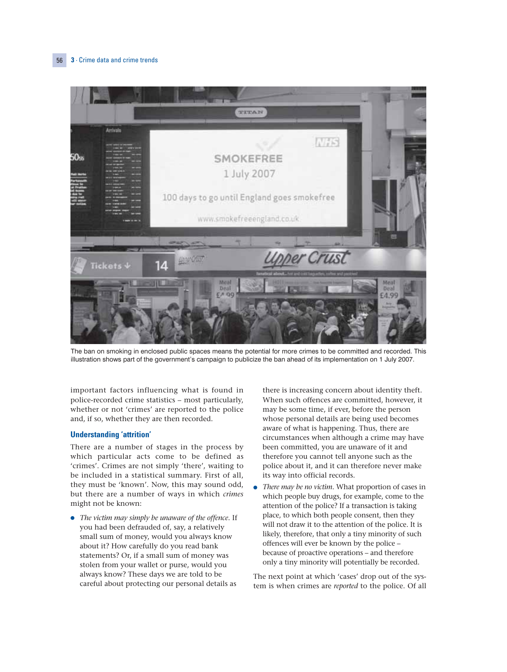

The ban on smoking in enclosed public spaces means the potential for more crimes to be committed and recorded. This illustration shows part of the government's campaign to publicize the ban ahead of its implementation on 1 July 2007.

important factors influencing what is found in police-recorded crime statistics – most particularly, whether or not 'crimes' are reported to the police and, if so, whether they are then recorded.

#### **Understanding 'attrition'**

There are a number of stages in the process by which particular acts come to be defined as 'crimes'. Crimes are not simply 'there', waiting to be included in a statistical summary. First of all, they must be 'known'. Now, this may sound odd, but there are a number of ways in which *crimes* might not be known:

● *The victim may simply be unaware of the offence*. If you had been defrauded of, say, a relatively small sum of money, would you always know about it? How carefully do you read bank statements? Or, if a small sum of money was stolen from your wallet or purse, would you always know? These days we are told to be careful about protecting our personal details as

there is increasing concern about identity theft. When such offences are committed, however, it may be some time, if ever, before the person whose personal details are being used becomes aware of what is happening. Thus, there are circumstances when although a crime may have been committed, you are unaware of it and therefore you cannot tell anyone such as the police about it, and it can therefore never make its way into official records.

● *There may be no victim*. What proportion of cases in which people buy drugs, for example, come to the attention of the police? If a transaction is taking place, to which both people consent, then they will not draw it to the attention of the police. It is likely, therefore, that only a tiny minority of such offences will ever be known by the police – because of proactive operations – and therefore only a tiny minority will potentially be recorded.

The next point at which 'cases' drop out of the system is when crimes are *reported* to the police. Of all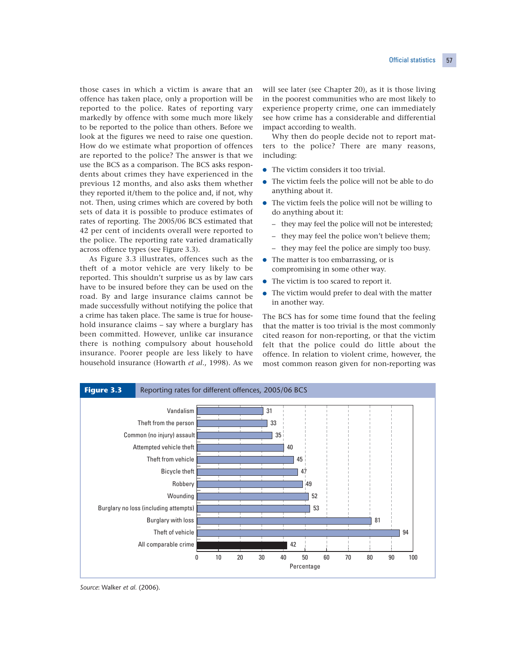those cases in which a victim is aware that an offence has taken place, only a proportion will be reported to the police. Rates of reporting vary markedly by offence with some much more likely to be reported to the police than others. Before we look at the figures we need to raise one question. How do we estimate what proportion of offences are reported to the police? The answer is that we use the BCS as a comparison. The BCS asks respondents about crimes they have experienced in the previous 12 months, and also asks them whether they reported it/them to the police and, if not, why not. Then, using crimes which are covered by both sets of data it is possible to produce estimates of rates of reporting. The 2005/06 BCS estimated that 42 per cent of incidents overall were reported to the police. The reporting rate varied dramatically across offence types (see Figure 3.3).

As Figure 3.3 illustrates, offences such as the theft of a motor vehicle are very likely to be reported. This shouldn't surprise us as by law cars have to be insured before they can be used on the road. By and large insurance claims cannot be made successfully without notifying the police that a crime has taken place. The same is true for household insurance claims – say where a burglary has been committed. However, unlike car insurance there is nothing compulsory about household insurance. Poorer people are less likely to have household insurance (Howarth *et al*., 1998). As we will see later (see Chapter 20), as it is those living in the poorest communities who are most likely to experience property crime, one can immediately see how crime has a considerable and differential impact according to wealth.

Why then do people decide not to report matters to the police? There are many reasons, including:

- The victim considers it too trivial.
- The victim feels the police will not be able to do anything about it.
- The victim feels the police will not be willing to do anything about it:
	- they may feel the police will not be interested;
	- they may feel the police won't believe them;
	- they may feel the police are simply too busy.
- The matter is too embarrassing, or is compromising in some other way.
- The victim is too scared to report it.
- The victim would prefer to deal with the matter in another way.

The BCS has for some time found that the feeling that the matter is too trivial is the most commonly cited reason for non-reporting, or that the victim felt that the police could do little about the offence. In relation to violent crime, however, the most common reason given for non-reporting was



*Source*: Walker *et al.* (2006).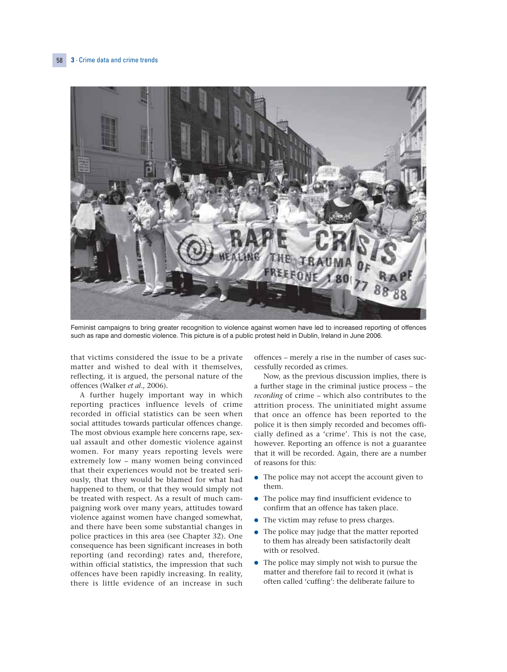

Feminist campaigns to bring greater recognition to violence against women have led to increased reporting of offences such as rape and domestic violence. This picture is of a public protest held in Dublin, Ireland in June 2006.

that victims considered the issue to be a private matter and wished to deal with it themselves, reflecting, it is argued, the personal nature of the offences (Walker *et al.*, 2006).

A further hugely important way in which reporting practices influence levels of crime recorded in official statistics can be seen when social attitudes towards particular offences change. The most obvious example here concerns rape, sexual assault and other domestic violence against women. For many years reporting levels were extremely low – many women being convinced that their experiences would not be treated seriously, that they would be blamed for what had happened to them, or that they would simply not be treated with respect. As a result of much campaigning work over many years, attitudes toward violence against women have changed somewhat, and there have been some substantial changes in police practices in this area (see Chapter 32). One consequence has been significant increases in both reporting (and recording) rates and, therefore, within official statistics, the impression that such offences have been rapidly increasing. In reality, there is little evidence of an increase in such offences – merely a rise in the number of cases successfully recorded as crimes.

Now, as the previous discussion implies, there is a further stage in the criminal justice process – the *recording* of crime – which also contributes to the attrition process. The uninitiated might assume that once an offence has been reported to the police it is then simply recorded and becomes officially defined as a 'crime'. This is not the case, however. Reporting an offence is not a guarantee that it will be recorded. Again, there are a number of reasons for this:

- The police may not accept the account given to them.
- The police may find insufficient evidence to confirm that an offence has taken place.
- The victim may refuse to press charges.
- The police may judge that the matter reported to them has already been satisfactorily dealt with or resolved.
- The police may simply not wish to pursue the matter and therefore fail to record it (what is often called 'cuffing': the deliberate failure to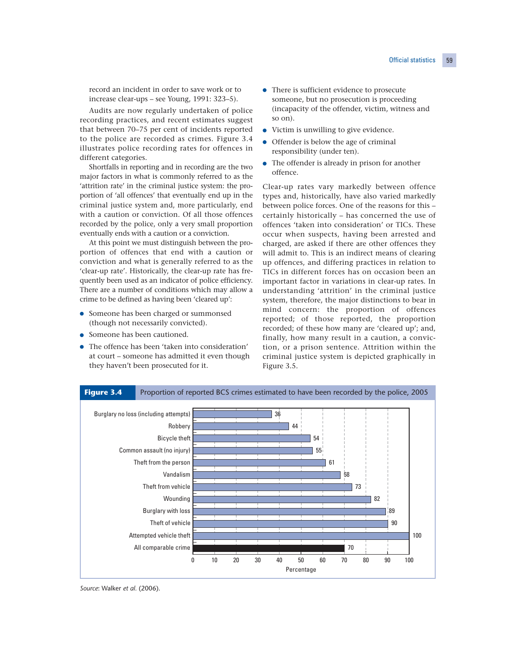record an incident in order to save work or to increase clear-ups – see Young, 1991: 323–5).

Audits are now regularly undertaken of police recording practices, and recent estimates suggest that between 70–75 per cent of incidents reported to the police are recorded as crimes. Figure 3.4 illustrates police recording rates for offences in different categories.

Shortfalls in reporting and in recording are the two major factors in what is commonly referred to as the 'attrition rate' in the criminal justice system: the proportion of 'all offences' that eventually end up in the criminal justice system and, more particularly, end with a caution or conviction. Of all those offences recorded by the police, only a very small proportion eventually ends with a caution or a conviction.

At this point we must distinguish between the proportion of offences that end with a caution or conviction and what is generally referred to as the 'clear-up rate'. Historically, the clear-up rate has frequently been used as an indicator of police efficiency. There are a number of conditions which may allow a crime to be defined as having been 'cleared up':

- Someone has been charged or summonsed (though not necessarily convicted).
- Someone has been cautioned.
- The offence has been 'taken into consideration' at court – someone has admitted it even though they haven't been prosecuted for it.
- There is sufficient evidence to prosecute someone, but no prosecution is proceeding (incapacity of the offender, victim, witness and so on).
- Victim is unwilling to give evidence.
- Offender is below the age of criminal responsibility (under ten).
- The offender is already in prison for another offence.

Clear-up rates vary markedly between offence types and, historically, have also varied markedly between police forces. One of the reasons for this – certainly historically – has concerned the use of offences 'taken into consideration' or TICs. These occur when suspects, having been arrested and charged, are asked if there are other offences they will admit to. This is an indirect means of clearing up offences, and differing practices in relation to TICs in different forces has on occasion been an important factor in variations in clear-up rates. In understanding 'attrition' in the criminal justice system, therefore, the major distinctions to bear in mind concern: the proportion of offences reported; of those reported, the proportion recorded; of these how many are 'cleared up'; and, finally, how many result in a caution, a conviction, or a prison sentence. Attrition within the criminal justice system is depicted graphically in Figure 3.5.



*Source*: Walker *et al.* (2006).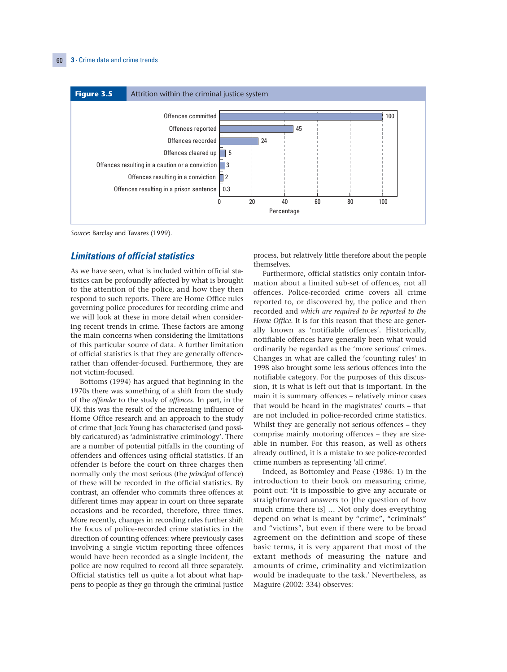#### 60 **3** · Crime data and crime trends



*Source*: Barclay and Tavares (1999).

#### **Limitations of official statistics**

As we have seen, what is included within official statistics can be profoundly affected by what is brought to the attention of the police, and how they then respond to such reports. There are Home Office rules governing police procedures for recording crime and we will look at these in more detail when considering recent trends in crime. These factors are among the main concerns when considering the limitations of this particular source of data. A further limitation of official statistics is that they are generally offencerather than offender-focused. Furthermore, they are not victim-focused.

Bottoms (1994) has argued that beginning in the 1970s there was something of a shift from the study of the *offender* to the study of *offences*. In part, in the UK this was the result of the increasing influence of Home Office research and an approach to the study of crime that Jock Young has characterised (and possibly caricatured) as 'administrative criminology'. There are a number of potential pitfalls in the counting of offenders and offences using official statistics. If an offender is before the court on three charges then normally only the most serious (the *principal* offence) of these will be recorded in the official statistics. By contrast, an offender who commits three offences at different times may appear in court on three separate occasions and be recorded, therefore, three times. More recently, changes in recording rules further shift the focus of police-recorded crime statistics in the direction of counting offences: where previously cases involving a single victim reporting three offences would have been recorded as a single incident, the police are now required to record all three separately. Official statistics tell us quite a lot about what happens to people as they go through the criminal justice process, but relatively little therefore about the people themselves.

Furthermore, official statistics only contain information about a limited sub-set of offences, not all offences. Police-recorded crime covers all crime reported to, or discovered by, the police and then recorded and *which are required to be reported to the Home Office*. It is for this reason that these are generally known as 'notifiable offences'. Historically, notifiable offences have generally been what would ordinarily be regarded as the 'more serious' crimes. Changes in what are called the 'counting rules' in 1998 also brought some less serious offences into the notifiable category. For the purposes of this discussion, it is what is left out that is important. In the main it is summary offences – relatively minor cases that would be heard in the magistrates' courts – that are not included in police-recorded crime statistics. Whilst they are generally not serious offences – they comprise mainly motoring offences – they are sizeable in number. For this reason, as well as others already outlined, it is a mistake to see police-recorded crime numbers as representing 'all crime'.

Indeed, as Bottomley and Pease (1986: 1) in the introduction to their book on measuring crime, point out: 'It is impossible to give any accurate or straightforward answers to [the question of how much crime there is] … Not only does everything depend on what is meant by "crime", "criminals" and "victims", but even if there were to be broad agreement on the definition and scope of these basic terms, it is very apparent that most of the extant methods of measuring the nature and amounts of crime, criminality and victimization would be inadequate to the task.' Nevertheless, as Maguire (2002: 334) observes: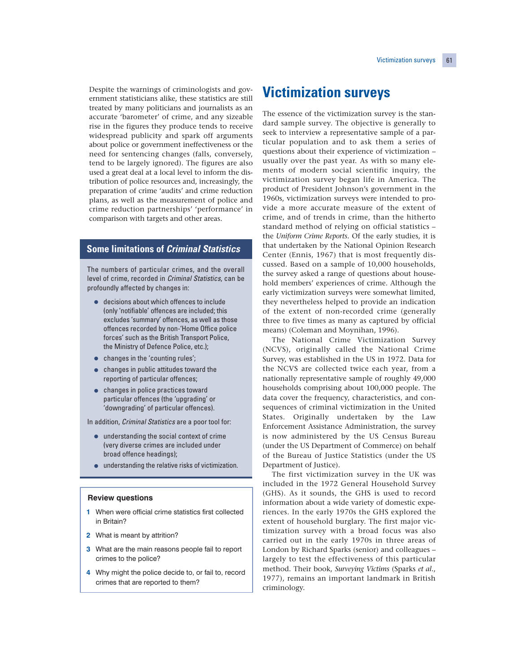Despite the warnings of criminologists and government statisticians alike, these statistics are still treated by many politicians and journalists as an accurate 'barometer' of crime, and any sizeable rise in the figures they produce tends to receive widespread publicity and spark off arguments about police or government ineffectiveness or the need for sentencing changes (falls, conversely, tend to be largely ignored). The figures are also used a great deal at a local level to inform the distribution of police resources and, increasingly, the preparation of crime 'audits' and crime reduction plans, as well as the measurement of police and crime reduction partnerships' 'performance' in comparison with targets and other areas.

#### **Some limitations of Criminal Statistics**

The numbers of particular crimes, and the overall level of crime, recorded in Criminal Statistics, can be profoundly affected by changes in:

- decisions about which offences to include (only 'notifiable' offences are included; this excludes 'summary' offences, as well as those offences recorded by non-'Home Office police forces' such as the British Transport Police, the Ministry of Defence Police, etc.);
- changes in the 'counting rules';
- changes in public attitudes toward the reporting of particular offences;
- changes in police practices toward particular offences (the 'upgrading' or 'downgrading' of particular offences).

In addition, *Criminal Statistics* are a poor tool for:

- understanding the social context of crime (very diverse crimes are included under broad offence headings);
- understanding the relative risks of victimization.

#### **Review questions**

- **1** When were official crime statistics first collected in Britain?
- **2** What is meant by attrition?
- **3** What are the main reasons people fail to report crimes to the police?
- **4** Why might the police decide to, or fail to, record crimes that are reported to them?

## **Victimization surveys**

The essence of the victimization survey is the standard sample survey. The objective is generally to seek to interview a representative sample of a particular population and to ask them a series of questions about their experience of victimization – usually over the past year. As with so many elements of modern social scientific inquiry, the victimization survey began life in America. The product of President Johnson's government in the 1960s, victimization surveys were intended to provide a more accurate measure of the extent of crime, and of trends in crime, than the hitherto standard method of relying on official statistics – the *Uniform Crime Reports.* Of the early studies, it is that undertaken by the National Opinion Research Center (Ennis, 1967) that is most frequently discussed. Based on a sample of 10,000 households, the survey asked a range of questions about household members' experiences of crime. Although the early victimization surveys were somewhat limited, they nevertheless helped to provide an indication of the extent of non-recorded crime (generally three to five times as many as captured by official means) (Coleman and Moynihan, 1996).

The National Crime Victimization Survey (NCVS), originally called the National Crime Survey, was established in the US in 1972. Data for the NCVS are collected twice each year, from a nationally representative sample of roughly 49,000 households comprising about 100,000 people. The data cover the frequency, characteristics, and consequences of criminal victimization in the United States. Originally undertaken by the Law Enforcement Assistance Administration, the survey is now administered by the US Census Bureau (under the US Department of Commerce) on behalf of the Bureau of Justice Statistics (under the US Department of Justice).

The first victimization survey in the UK was included in the 1972 General Household Survey (GHS). As it sounds, the GHS is used to record information about a wide variety of domestic experiences. In the early 1970s the GHS explored the extent of household burglary. The first major victimization survey with a broad focus was also carried out in the early 1970s in three areas of London by Richard Sparks (senior) and colleagues – largely to test the effectiveness of this particular method. Their book, *Surveying Victims* (Sparks *et al.*, 1977), remains an important landmark in British criminology.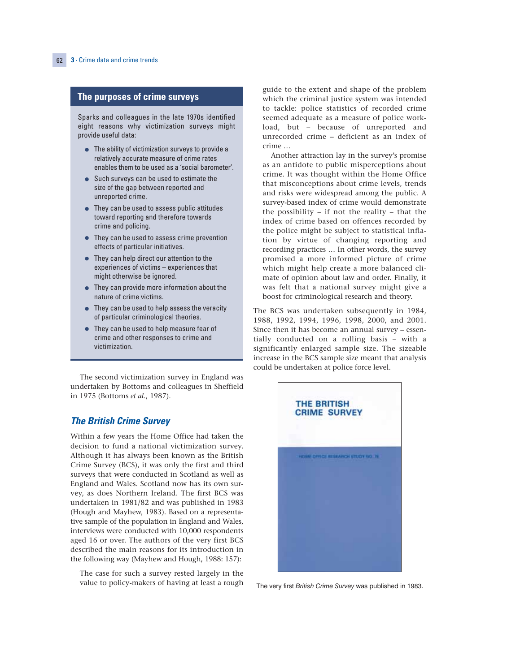#### **The purposes of crime surveys**

Sparks and colleagues in the late 1970s identified eight reasons why victimization surveys might provide useful data:

- The ability of victimization surveys to provide a relatively accurate measure of crime rates enables them to be used as a 'social barometer'.
- Such surveys can be used to estimate the size of the gap between reported and unreported crime.
- They can be used to assess public attitudes toward reporting and therefore towards crime and policing.
- They can be used to assess crime prevention effects of particular initiatives.
- They can help direct our attention to the experiences of victims – experiences that might otherwise be ignored.
- They can provide more information about the nature of crime victims.
- They can be used to help assess the veracity of particular criminological theories.
- They can be used to help measure fear of crime and other responses to crime and victimization.

The second victimization survey in England was undertaken by Bottoms and colleagues in Sheffield in 1975 (Bottoms *et al*., 1987).

#### **The British Crime Survey**

Within a few years the Home Office had taken the decision to fund a national victimization survey. Although it has always been known as the British Crime Survey (BCS), it was only the first and third surveys that were conducted in Scotland as well as England and Wales. Scotland now has its own survey, as does Northern Ireland. The first BCS was undertaken in 1981/82 and was published in 1983 (Hough and Mayhew, 1983). Based on a representative sample of the population in England and Wales, interviews were conducted with 10,000 respondents aged 16 or over. The authors of the very first BCS described the main reasons for its introduction in the following way (Mayhew and Hough, 1988: 157):

The case for such a survey rested largely in the value to policy-makers of having at least a rough

guide to the extent and shape of the problem which the criminal justice system was intended to tackle: police statistics of recorded crime seemed adequate as a measure of police workload, but – because of unreported and unrecorded crime – deficient as an index of crime …

Another attraction lay in the survey's promise as an antidote to public misperceptions about crime. It was thought within the Home Office that misconceptions about crime levels, trends and risks were widespread among the public. A survey-based index of crime would demonstrate the possibility  $-$  if not the reality  $-$  that the index of crime based on offences recorded by the police might be subject to statistical inflation by virtue of changing reporting and recording practices … In other words, the survey promised a more informed picture of crime which might help create a more balanced climate of opinion about law and order. Finally, it was felt that a national survey might give a boost for criminological research and theory.

The BCS was undertaken subsequently in 1984, 1988, 1992, 1994, 1996, 1998, 2000, and 2001. Since then it has become an annual survey – essentially conducted on a rolling basis – with a significantly enlarged sample size. The sizeable increase in the BCS sample size meant that analysis could be undertaken at police force level.



The very first *British Crime Survey* was published in 1983.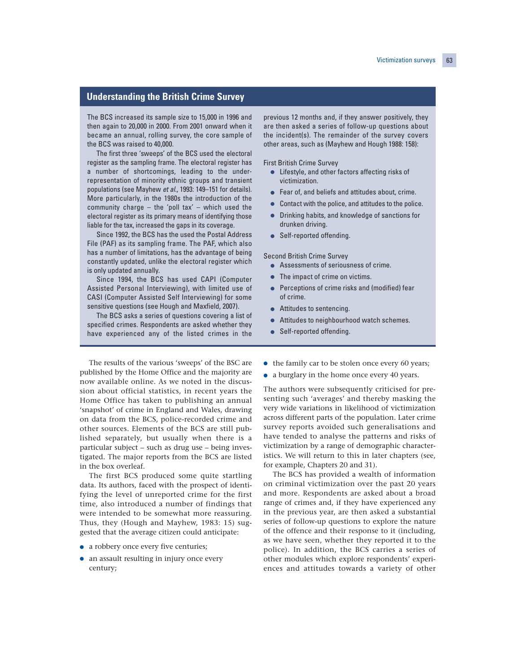#### **Understanding the British Crime Survey**

The BCS increased its sample size to 15,000 in 1996 and then again to 20,000 in 2000. From 2001 onward when it became an annual, rolling survey, the core sample of the BCS was raised to 40,000.

The first three 'sweeps' of the BCS used the electoral register as the sampling frame. The electoral register has a number of shortcomings, leading to the underrepresentation of minority ethnic groups and transient populations (see Mayhew et al., 1993: 149–151 for details). More particularly, in the 1980s the introduction of the community charge  $-$  the 'poll tax'  $-$  which used the electoral register as its primary means of identifying those liable for the tax, increased the gaps in its coverage.

Since 1992, the BCS has the used the Postal Address File (PAF) as its sampling frame. The PAF, which also has a number of limitations, has the advantage of being constantly updated, unlike the electoral register which is only updated annually.

Since 1994, the BCS has used CAPI (Computer Assisted Personal Interviewing), with limited use of CASI (Computer Assisted Self Interviewing) for some sensitive questions (see Hough and Maxfield, 2007).

The BCS asks a series of questions covering a list of specified crimes. Respondents are asked whether they have experienced any of the listed crimes in the

The results of the various 'sweeps' of the BSC are published by the Home Office and the majority are now available online. As we noted in the discussion about official statistics, in recent years the Home Office has taken to publishing an annual 'snapshot' of crime in England and Wales, drawing on data from the BCS, police-recorded crime and other sources. Elements of the BCS are still published separately, but usually when there is a particular subject – such as drug use – being investigated. The major reports from the BCS are listed in the box overleaf.

The first BCS produced some quite startling data. Its authors, faced with the prospect of identifying the level of unreported crime for the first time, also introduced a number of findings that were intended to be somewhat more reassuring. Thus, they (Hough and Mayhew, 1983: 15) suggested that the average citizen could anticipate:

- a robbery once every five centuries;
- an assault resulting in injury once every century;

previous 12 months and, if they answer positively, they are then asked a series of follow-up questions about the incident(s). The remainder of the survey covers other areas, such as (Mayhew and Hough 1988: 158):

First British Crime Survey

- Lifestyle, and other factors affecting risks of victimization.
- Fear of, and beliefs and attitudes about, crime.
- Contact with the police, and attitudes to the police.
- Drinking habits, and knowledge of sanctions for drunken driving.
- Self-reported offending.

Second British Crime Survey

- Assessments of seriousness of crime.
- The impact of crime on victims.
- Perceptions of crime risks and (modified) fear of crime.
- Attitudes to sentencing.
- Attitudes to neighbourhood watch schemes.
- Self-reported offending.
- the family car to be stolen once every 60 years;
- a burglary in the home once every 40 years.

The authors were subsequently criticised for presenting such 'averages' and thereby masking the very wide variations in likelihood of victimization across different parts of the population. Later crime survey reports avoided such generalisations and have tended to analyse the patterns and risks of victimization by a range of demographic characteristics. We will return to this in later chapters (see, for example, Chapters 20 and 31).

The BCS has provided a wealth of information on criminal victimization over the past 20 years and more. Respondents are asked about a broad range of crimes and, if they have experienced any in the previous year, are then asked a substantial series of follow-up questions to explore the nature of the offence and their response to it (including, as we have seen, whether they reported it to the police). In addition, the BCS carries a series of other modules which explore respondents' experiences and attitudes towards a variety of other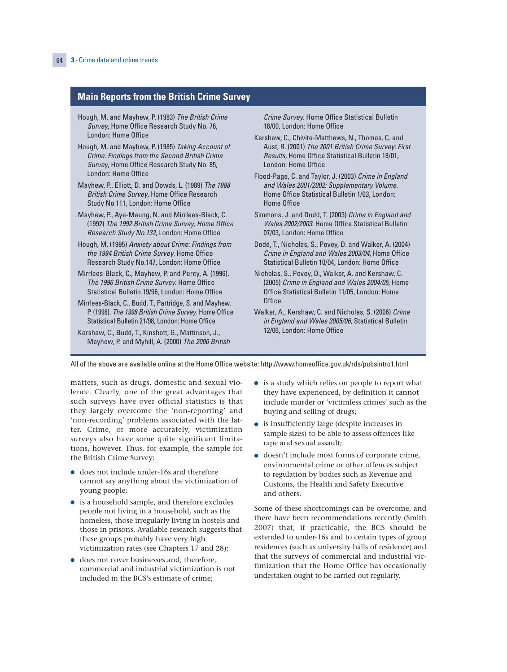#### **Main Reports from the British Crime Survey**

- Hough, M. and Mayhew, P. (1983) The British Crime Survey, Home Office Research Study No. 76, London: Home Office
- Hough, M. and Mayhew, P. (1985) Taking Account of Crime: Findings from the Second British Crime Survey, Home Office Research Study No. 85, London: Home Office
- Mayhew, P., Elliott, D. and Dowds, L. (1989) The 1988 British Crime Survey, Home Office Research Study No.111, London: Home Office
- Mayhew, P., Aye-Maung, N. and Mirrlees-Black, C. (1992) The 1992 British Crime Survey, Home Office Research Study No.132, London: Home Office
- Hough, M. (1995) Anxiety about Crime: Findings from the 1994 British Crime Survey, Home Office Research Study No.147, London: Home Office
- Mirrlees-Black, C., Mayhew, P. and Percy, A. (1996). The 1996 British Crime Survey. Home Office Statistical Bulletin 19/96, London: Home Office
- Mirrlees-Black, C., Budd, T., Partridge, S. and Mayhew, P. (1998). The 1998 British Crime Survey. Home Office Statistical Bulletin 21/98, London: Home Office
- Kershaw, C., Budd, T., Kinshott, G., Mattinson, J., Mayhew, P. and Myhill, A. (2000) The 2000 British

Crime Survey. Home Office Statistical Bulletin 18/00, London: Home Office

- Kershaw, C., Chivite-Matthews, N., Thomas, C. and Aust, R. (2001) The 2001 British Crime Survey: First Results, Home Office Statistical Bulletin 18/01, London: Home Office
- Flood-Page, C. and Taylor, J. (2003) Crime in England and Wales 2001/2002: Supplementary Volume. Home Office Statistical Bulletin 1/03, London: Home Office
- Simmons, J. and Dodd, T. (2003) Crime in England and Wales 2002/2003. Home Office Statistical Bulletin 07/03, London: Home Office
- Dodd, T., Nicholas, S., Povey, D. and Walker, A. (2004) Crime in England and Wales 2003/04, Home Office Statistical Bulletin 10/04, London: Home Office
- Nicholas, S., Povey, D., Walker, A. and Kershaw, C. (2005) Crime in England and Wales 2004/05, Home Office Statistical Bulletin 11/05, London: Home **Office**
- Walker, A., Kershaw, C. and Nicholas, S. (2006) Crime in England and Wales 2005/06, Statistical Bulletin 12/06, London: Home Office

All of the above are available online at the Home Office website: http://www.homeoffice.gov.uk/rds/pubsintro1.html

matters, such as drugs, domestic and sexual violence. Clearly, one of the great advantages that such surveys have over official statistics is that they largely overcome the 'non-reporting' and 'non-recording' problems associated with the latter. Crime, or more accurately, victimization surveys also have some quite significant limitations, however. Thus, for example, the sample for the British Crime Survey:

- does not include under-16s and therefore cannot say anything about the victimization of young people;
- is a household sample, and therefore excludes people not living in a household, such as the homeless, those irregularly living in hostels and those in prisons. Available research suggests that these groups probably have very high victimization rates (see Chapters 17 and 28);
- does not cover businesses and, therefore, commercial and industrial victimization is not included in the BCS's estimate of crime;
- is a study which relies on people to report what they have experienced, by definition it cannot include murder or 'victimless crimes' such as the buying and selling of drugs;
- is insufficiently large (despite increases in sample sizes) to be able to assess offences like rape and sexual assault;
- doesn't include most forms of corporate crime, environmental crime or other offences subject to regulation by bodies such as Revenue and Customs, the Health and Safety Executive and others.

Some of these shortcomings can be overcome, and there have been recommendations recently (Smith 2007) that, if practicable, the BCS should be extended to under-16s and to certain types of group residences (such as university halls of residence) and that the surveys of commercial and industrial victimization that the Home Office has occasionally undertaken ought to be carried out regularly.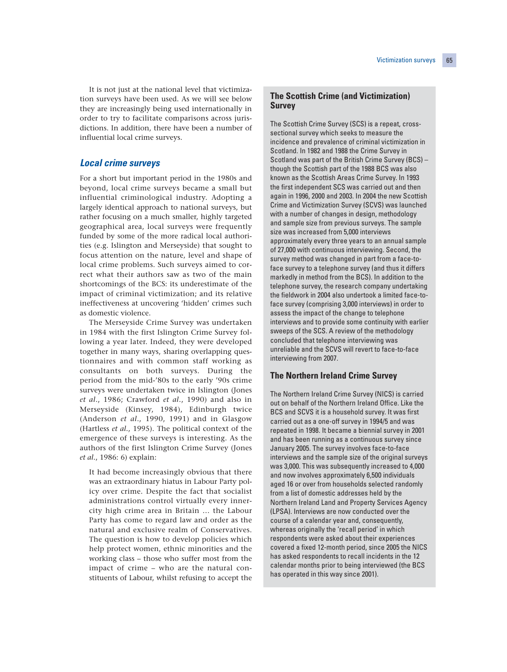It is not just at the national level that victimization surveys have been used. As we will see below they are increasingly being used internationally in order to try to facilitate comparisons across jurisdictions. In addition, there have been a number of influential local crime surveys.

#### **Local crime surveys**

For a short but important period in the 1980s and beyond, local crime surveys became a small but influential criminological industry. Adopting a largely identical approach to national surveys, but rather focusing on a much smaller, highly targeted geographical area, local surveys were frequently funded by some of the more radical local authorities (e.g. Islington and Merseyside) that sought to focus attention on the nature, level and shape of local crime problems. Such surveys aimed to correct what their authors saw as two of the main shortcomings of the BCS: its underestimate of the impact of criminal victimization; and its relative ineffectiveness at uncovering 'hidden' crimes such as domestic violence.

The Merseyside Crime Survey was undertaken in 1984 with the first Islington Crime Survey following a year later. Indeed, they were developed together in many ways, sharing overlapping questionnaires and with common staff working as consultants on both surveys. During the period from the mid-'80s to the early '90s crime surveys were undertaken twice in Islington (Jones *et al*., 1986; Crawford *et al*., 1990) and also in Merseyside (Kinsey, 1984), Edinburgh twice (Anderson *et al*., 1990, 1991) and in Glasgow (Hartless *et al.*, 1995). The political context of the emergence of these surveys is interesting. As the authors of the first Islington Crime Survey (Jones *et al.*, 1986: 6) explain:

It had become increasingly obvious that there was an extraordinary hiatus in Labour Party policy over crime. Despite the fact that socialist administrations control virtually every innercity high crime area in Britain … the Labour Party has come to regard law and order as the natural and exclusive realm of Conservatives. The question is how to develop policies which help protect women, ethnic minorities and the working class – those who suffer most from the impact of crime – who are the natural constituents of Labour, whilst refusing to accept the

#### **The Scottish Crime (and Victimization) Survey**

The Scottish Crime Survey (SCS) is a repeat, crosssectional survey which seeks to measure the incidence and prevalence of criminal victimization in Scotland. In 1982 and 1988 the Crime Survey in Scotland was part of the British Crime Survey (BCS) – though the Scottish part of the 1988 BCS was also known as the Scottish Areas Crime Survey. In 1993 the first independent SCS was carried out and then again in 1996, 2000 and 2003. In 2004 the new Scottish Crime and Victimization Survey (SCVS) was launched with a number of changes in design, methodology and sample size from previous surveys. The sample size was increased from 5,000 interviews approximately every three years to an annual sample of 27,000 with continuous interviewing. Second, the survey method was changed in part from a face-toface survey to a telephone survey (and thus it differs markedly in method from the BCS). In addition to the telephone survey, the research company undertaking the fieldwork in 2004 also undertook a limited face-toface survey (comprising 3,000 interviews) in order to assess the impact of the change to telephone interviews and to provide some continuity with earlier sweeps of the SCS. A review of the methodology concluded that telephone interviewing was unreliable and the SCVS will revert to face-to-face interviewing from 2007.

#### **The Northern Ireland Crime Survey**

The Northern Ireland Crime Survey (NICS) is carried out on behalf of the Northern Ireland Office. Like the BCS and SCVS it is a household survey. It was first carried out as a one-off survey in 1994/5 and was repeated in 1998. It became a biennial survey in 2001 and has been running as a continuous survey since January 2005. The survey involves face-to-face interviews and the sample size of the original surveys was 3,000. This was subsequently increased to 4,000 and now involves approximately 6,500 individuals aged 16 or over from households selected randomly from a list of domestic addresses held by the Northern Ireland Land and Property Services Agency (LPSA). Interviews are now conducted over the course of a calendar year and, consequently, whereas originally the 'recall period' in which respondents were asked about their experiences covered a fixed 12-month period, since 2005 the NICS has asked respondents to recall incidents in the 12 calendar months prior to being interviewed (the BCS has operated in this way since 2001).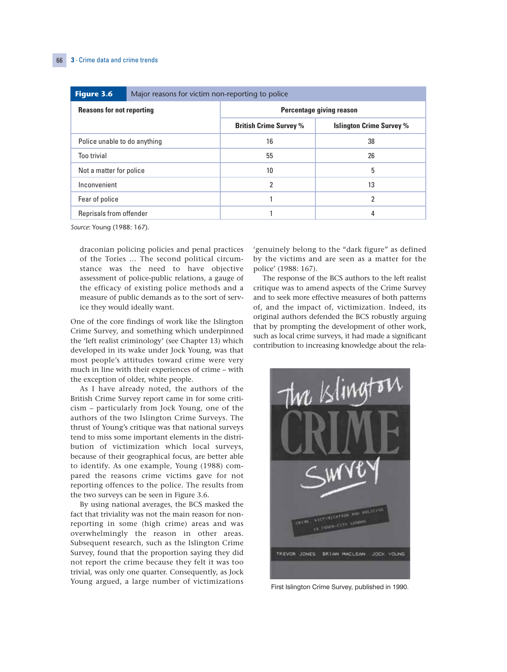| <b>Figure 3.6</b><br>Major reasons for victim non-reporting to police |  |                               |                                 |  |  |
|-----------------------------------------------------------------------|--|-------------------------------|---------------------------------|--|--|
| <b>Reasons for not reporting</b>                                      |  | Percentage giving reason      |                                 |  |  |
|                                                                       |  | <b>British Crime Survey %</b> | <b>Islington Crime Survey %</b> |  |  |
| Police unable to do anything                                          |  | 16                            | 38                              |  |  |
| Too trivial                                                           |  | 55                            | 26                              |  |  |
| Not a matter for police                                               |  | 10                            | 5                               |  |  |
| Inconvenient                                                          |  | 2                             | 13                              |  |  |
| Fear of police                                                        |  |                               |                                 |  |  |
| Reprisals from offender                                               |  |                               |                                 |  |  |

*Source*: Young (1988: 167).

draconian policing policies and penal practices of the Tories … The second political circumstance was the need to have objective assessment of police-public relations, a gauge of the efficacy of existing police methods and a measure of public demands as to the sort of service they would ideally want.

One of the core findings of work like the Islington Crime Survey, and something which underpinned the 'left realist criminology' (see Chapter 13) which developed in its wake under Jock Young, was that most people's attitudes toward crime were very much in line with their experiences of crime – with the exception of older, white people.

As I have already noted, the authors of the British Crime Survey report came in for some criticism – particularly from Jock Young, one of the authors of the two Islington Crime Surveys. The thrust of Young's critique was that national surveys tend to miss some important elements in the distribution of victimization which local surveys, because of their geographical focus, are better able to identify. As one example, Young (1988) compared the reasons crime victims gave for not reporting offences to the police. The results from the two surveys can be seen in Figure 3.6.

By using national averages, the BCS masked the fact that triviality was not the main reason for nonreporting in some (high crime) areas and was overwhelmingly the reason in other areas. Subsequent research, such as the Islington Crime Survey, found that the proportion saying they did not report the crime because they felt it was too trivial, was only one quarter. Consequently, as Jock Young argued, a large number of victimizations

'genuinely belong to the "dark figure" as defined by the victims and are seen as a matter for the police' (1988: 167).

The response of the BCS authors to the left realist critique was to amend aspects of the Crime Survey and to seek more effective measures of both patterns of, and the impact of, victimization. Indeed, its original authors defended the BCS robustly arguing that by prompting the development of other work, such as local crime surveys, it had made a significant contribution to increasing knowledge about the rela-



First Islington Crime Survey, published in 1990.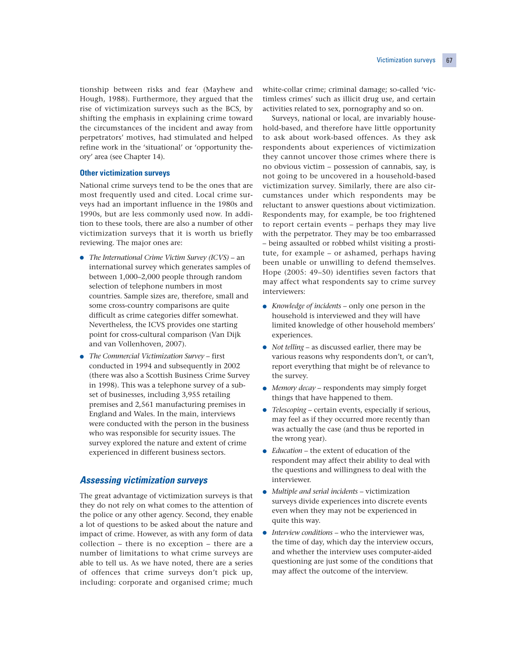tionship between risks and fear (Mayhew and Hough, 1988). Furthermore, they argued that the rise of victimization surveys such as the BCS, by shifting the emphasis in explaining crime toward the circumstances of the incident and away from perpetrators' motives, had stimulated and helped refine work in the 'situational' or 'opportunity theory' area (see Chapter 14).

#### **Other victimization surveys**

National crime surveys tend to be the ones that are most frequently used and cited. Local crime surveys had an important influence in the 1980s and 1990s, but are less commonly used now. In addition to these tools, there are also a number of other victimization surveys that it is worth us briefly reviewing. The major ones are:

- *The International Crime Victim Survey (ICVS)* an international survey which generates samples of between 1,000–2,000 people through random selection of telephone numbers in most countries. Sample sizes are, therefore, small and some cross-country comparisons are quite difficult as crime categories differ somewhat. Nevertheless, the ICVS provides one starting point for cross-cultural comparison (Van Dijk and van Vollenhoven, 2007).
- *The Commercial Victimization Survey* first conducted in 1994 and subsequently in 2002 (there was also a Scottish Business Crime Survey in 1998). This was a telephone survey of a subset of businesses, including 3,955 retailing premises and 2,561 manufacturing premises in England and Wales. In the main, interviews were conducted with the person in the business who was responsible for security issues. The survey explored the nature and extent of crime experienced in different business sectors.

#### **Assessing victimization surveys**

The great advantage of victimization surveys is that they do not rely on what comes to the attention of the police or any other agency. Second, they enable a lot of questions to be asked about the nature and impact of crime. However, as with any form of data collection – there is no exception – there are a number of limitations to what crime surveys are able to tell us. As we have noted, there are a series of offences that crime surveys don't pick up, including: corporate and organised crime; much white-collar crime; criminal damage; so-called 'victimless crimes' such as illicit drug use, and certain activities related to sex, pornography and so on.

Surveys, national or local, are invariably household-based, and therefore have little opportunity to ask about work-based offences. As they ask respondents about experiences of victimization they cannot uncover those crimes where there is no obvious victim – possession of cannabis, say, is not going to be uncovered in a household-based victimization survey. Similarly, there are also circumstances under which respondents may be reluctant to answer questions about victimization. Respondents may, for example, be too frightened to report certain events – perhaps they may live with the perpetrator. They may be too embarrassed – being assaulted or robbed whilst visiting a prostitute, for example – or ashamed, perhaps having been unable or unwilling to defend themselves. Hope (2005: 49–50) identifies seven factors that may affect what respondents say to crime survey interviewers:

- *Knowledge of incidents* only one person in the household is interviewed and they will have limited knowledge of other household members' experiences.
- *Not telling* as discussed earlier, there may be various reasons why respondents don't, or can't, report everything that might be of relevance to the survey.
- *Memory decay* respondents may simply forget things that have happened to them.
- *Telescoping* certain events, especially if serious, may feel as if they occurred more recently than was actually the case (and thus be reported in the wrong year).
- *Education* the extent of education of the respondent may affect their ability to deal with the questions and willingness to deal with the interviewer.
- *Multiple and serial incidents* victimization surveys divide experiences into discrete events even when they may not be experienced in quite this way.
- *Interview conditions* who the interviewer was, the time of day, which day the interview occurs, and whether the interview uses computer-aided questioning are just some of the conditions that may affect the outcome of the interview.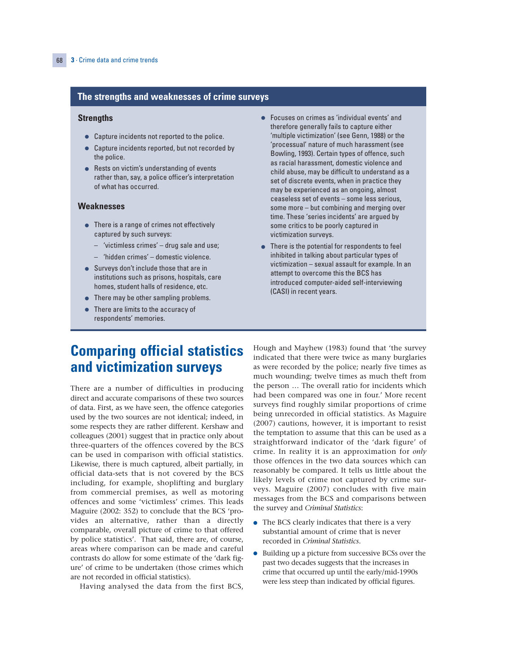#### **The strengths and weaknesses of crime surveys**

#### **Strengths**

- Capture incidents not reported to the police.
- Capture incidents reported, but not recorded by the police.
- Rests on victim's understanding of events rather than, say, a police officer's interpretation of what has occurred.

#### **Weaknesses**

- There is a range of crimes not effectively captured by such surveys:
	- 'victimless crimes' drug sale and use;
	- 'hidden crimes' domestic violence.
- Surveys don't include those that are in institutions such as prisons, hospitals, care homes, student halls of residence, etc.
- There may be other sampling problems.
- There are limits to the accuracy of respondents' memories.
- Focuses on crimes as 'individual events' and therefore generally fails to capture either 'multiple victimization' (see Genn, 1988) or the 'processual' nature of much harassment (see Bowling, 1993). Certain types of offence, such as racial harassment, domestic violence and child abuse, may be difficult to understand as a set of discrete events, when in practice they may be experienced as an ongoing, almost ceaseless set of events – some less serious, some more – but combining and merging over time. These 'series incidents' are argued by some critics to be poorly captured in victimization surveys.
- There is the potential for respondents to feel inhibited in talking about particular types of victimization – sexual assault for example. In an attempt to overcome this the BCS has introduced computer-aided self-interviewing (CASI) in recent years.

## **Comparing official statistics and victimization surveys**

There are a number of difficulties in producing direct and accurate comparisons of these two sources of data. First, as we have seen, the offence categories used by the two sources are not identical; indeed, in some respects they are rather different. Kershaw and colleagues (2001) suggest that in practice only about three-quarters of the offences covered by the BCS can be used in comparison with official statistics. Likewise, there is much captured, albeit partially, in official data-sets that is not covered by the BCS including, for example, shoplifting and burglary from commercial premises, as well as motoring offences and some 'victimless' crimes. This leads Maguire (2002: 352) to conclude that the BCS 'provides an alternative, rather than a directly comparable, overall picture of crime to that offered by police statistics'. That said, there are, of course, areas where comparison can be made and careful contrasts do allow for some estimate of the 'dark figure' of crime to be undertaken (those crimes which are not recorded in official statistics).

Having analysed the data from the first BCS,

Hough and Mayhew (1983) found that 'the survey indicated that there were twice as many burglaries as were recorded by the police; nearly five times as much wounding; twelve times as much theft from the person … The overall ratio for incidents which had been compared was one in four.' More recent surveys find roughly similar proportions of crime being unrecorded in official statistics. As Maguire (2007) cautions, however, it is important to resist the temptation to assume that this can be used as a straightforward indicator of the 'dark figure' of crime. In reality it is an approximation for *only* those offences in the two data sources which can reasonably be compared. It tells us little about the likely levels of crime not captured by crime surveys. Maguire (2007) concludes with five main messages from the BCS and comparisons between the survey and *Criminal Statistics*:

- The BCS clearly indicates that there is a very substantial amount of crime that is never recorded in *Criminal Statistics*.
- Building up a picture from successive BCSs over the past two decades suggests that the increases in crime that occurred up until the early/mid-1990s were less steep than indicated by official figures.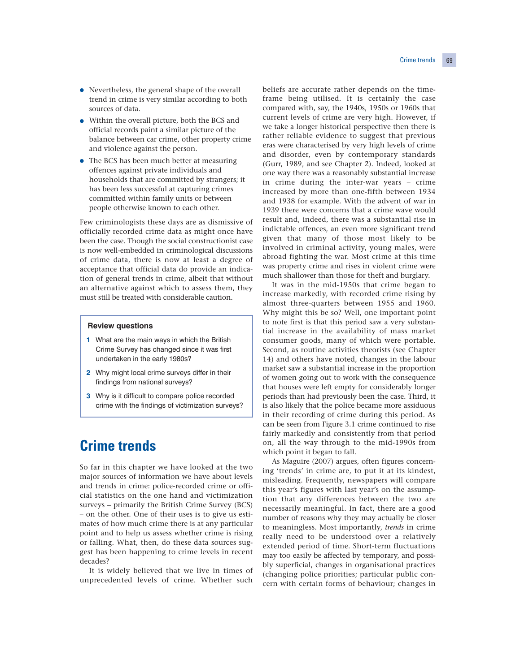- Nevertheless, the general shape of the overall trend in crime is very similar according to both sources of data.
- Within the overall picture, both the BCS and official records paint a similar picture of the balance between car crime, other property crime and violence against the person.
- The BCS has been much better at measuring offences against private individuals and households that are committed by strangers; it has been less successful at capturing crimes committed within family units or between people otherwise known to each other.

Few criminologists these days are as dismissive of officially recorded crime data as might once have been the case. Though the social constructionist case is now well-embedded in criminological discussions of crime data, there is now at least a degree of acceptance that official data do provide an indication of general trends in crime, albeit that without an alternative against which to assess them, they must still be treated with considerable caution.

#### **Review questions**

- **1** What are the main ways in which the British Crime Survey has changed since it was first undertaken in the early 1980s?
- **2** Why might local crime surveys differ in their findings from national surveys?
- **3** Why is it difficult to compare police recorded crime with the findings of victimization surveys?

## **Crime trends**

So far in this chapter we have looked at the two major sources of information we have about levels and trends in crime: police-recorded crime or official statistics on the one hand and victimization surveys – primarily the British Crime Survey (BCS) – on the other. One of their uses is to give us estimates of how much crime there is at any particular point and to help us assess whether crime is rising or falling. What, then, do these data sources suggest has been happening to crime levels in recent decades?

It is widely believed that we live in times of unprecedented levels of crime. Whether such beliefs are accurate rather depends on the timeframe being utilised. It is certainly the case compared with, say, the 1940s, 1950s or 1960s that current levels of crime are very high. However, if we take a longer historical perspective then there is rather reliable evidence to suggest that previous eras were characterised by very high levels of crime and disorder, even by contemporary standards (Gurr, 1989, and see Chapter 2). Indeed, looked at one way there was a reasonably substantial increase in crime during the inter-war years – crime increased by more than one-fifth between 1934 and 1938 for example. With the advent of war in 1939 there were concerns that a crime wave would result and, indeed, there was a substantial rise in indictable offences, an even more significant trend given that many of those most likely to be involved in criminal activity, young males, were abroad fighting the war. Most crime at this time was property crime and rises in violent crime were much shallower than those for theft and burglary.

It was in the mid-1950s that crime began to increase markedly, with recorded crime rising by almost three-quarters between 1955 and 1960. Why might this be so? Well, one important point to note first is that this period saw a very substantial increase in the availability of mass market consumer goods, many of which were portable. Second, as routine activities theorists (see Chapter 14) and others have noted, changes in the labour market saw a substantial increase in the proportion of women going out to work with the consequence that houses were left empty for considerably longer periods than had previously been the case. Third, it is also likely that the police became more assiduous in their recording of crime during this period. As can be seen from Figure 3.1 crime continued to rise fairly markedly and consistently from that period on, all the way through to the mid-1990s from which point it began to fall.

As Maguire (2007) argues, often figures concerning 'trends' in crime are, to put it at its kindest, misleading. Frequently, newspapers will compare this year's figures with last year's on the assumption that any differences between the two are necessarily meaningful. In fact, there are a good number of reasons why they may actually be closer to meaningless. Most importantly, *trends* in crime really need to be understood over a relatively extended period of time. Short-term fluctuations may too easily be affected by temporary, and possibly superficial, changes in organisational practices (changing police priorities; particular public concern with certain forms of behaviour; changes in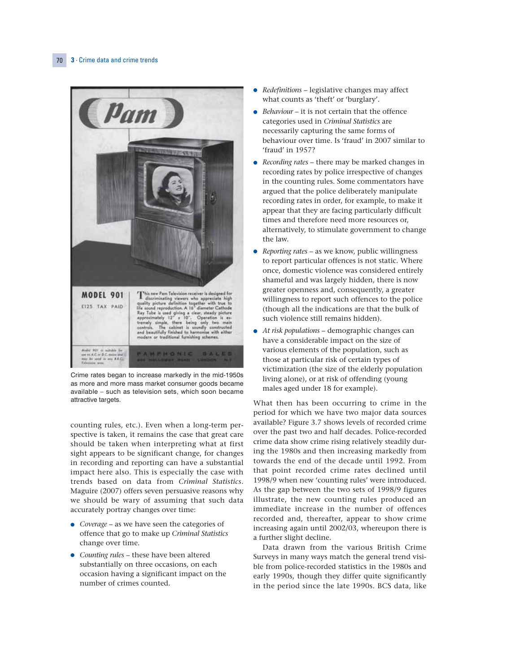

Crime rates began to increase markedly in the mid-1950s as more and more mass market consumer goods became available – such as television sets, which soon became attractive targets.

counting rules, etc.). Even when a long-term perspective is taken, it remains the case that great care should be taken when interpreting what at first sight appears to be significant change, for changes in recording and reporting can have a substantial impact here also. This is especially the case with trends based on data from *Criminal Statistics*. Maguire (2007) offers seven persuasive reasons why we should be wary of assuming that such data accurately portray changes over time:

- *Coverage* as we have seen the categories of offence that go to make up *Criminal Statistics* change over time.
- *Counting rules* these have been altered substantially on three occasions, on each occasion having a significant impact on the number of crimes counted.
- *Redefinitions* legislative changes may affect what counts as 'theft' or 'burglary'.
- *Behaviour* it is not certain that the offence categories used in *Criminal Statistics* are necessarily capturing the same forms of behaviour over time. Is 'fraud' in 2007 similar to 'fraud' in 1957?
- *Recording rates* there may be marked changes in recording rates by police irrespective of changes in the counting rules. Some commentators have argued that the police deliberately manipulate recording rates in order, for example, to make it appear that they are facing particularly difficult times and therefore need more resources or, alternatively, to stimulate government to change the law.
- *Reporting rates* as we know, public willingness to report particular offences is not static. Where once, domestic violence was considered entirely shameful and was largely hidden, there is now greater openness and, consequently, a greater willingness to report such offences to the police (though all the indications are that the bulk of such violence still remains hidden).
- *At risk populations* demographic changes can have a considerable impact on the size of various elements of the population, such as those at particular risk of certain types of victimization (the size of the elderly population living alone), or at risk of offending (young males aged under 18 for example).

What then has been occurring to crime in the period for which we have two major data sources available? Figure 3.7 shows levels of recorded crime over the past two and half decades. Police-recorded crime data show crime rising relatively steadily during the 1980s and then increasing markedly from towards the end of the decade until 1992. From that point recorded crime rates declined until 1998/9 when new 'counting rules' were introduced. As the gap between the two sets of 1998/9 figures illustrate, the new counting rules produced an immediate increase in the number of offences recorded and, thereafter, appear to show crime increasing again until 2002/03, whereupon there is a further slight decline.

Data drawn from the various British Crime Surveys in many ways match the general trend visible from police-recorded statistics in the 1980s and early 1990s, though they differ quite significantly in the period since the late 1990s. BCS data, like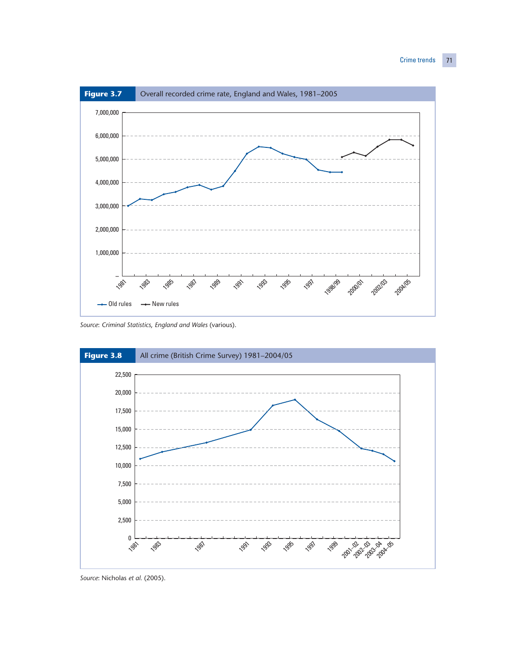

*Source*: *Criminal Statistics*, *England and Wales* (various).



*Source*: Nicholas *et al.* (2005).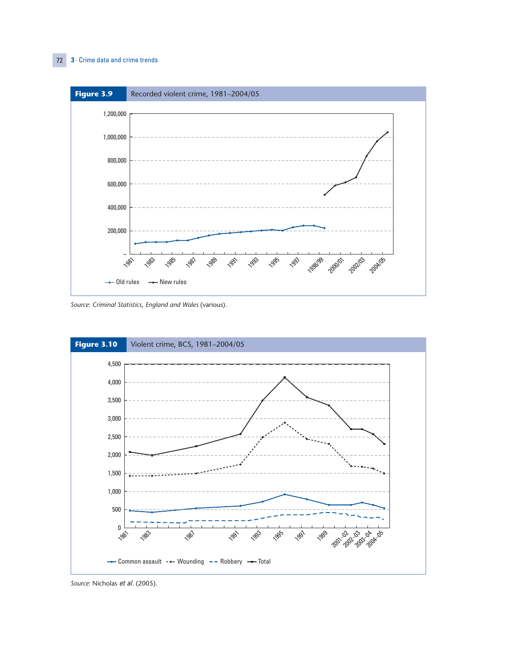#### 72 **3** · Crime data and crime trends



*Source*: *Criminal Statistics*, *England and Wales* (various).



*Source*: Nicholas et al. (2005).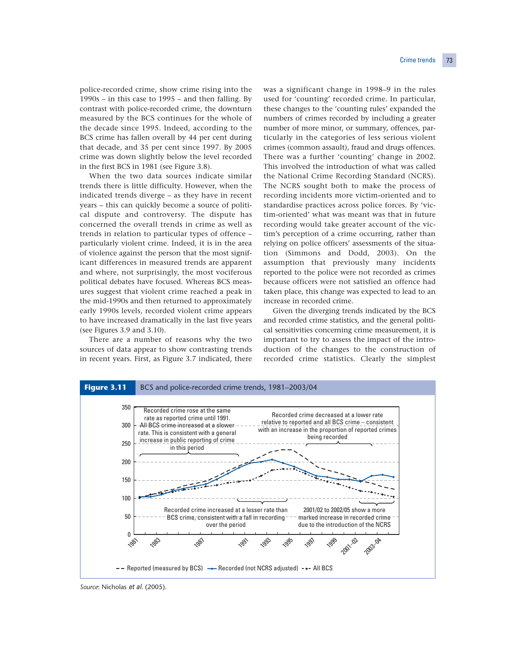police-recorded crime, show crime rising into the 1990s – in this case to 1995 – and then falling. By contrast with police-recorded crime, the downturn measured by the BCS continues for the whole of the decade since 1995. Indeed, according to the BCS crime has fallen overall by 44 per cent during that decade, and 35 per cent since 1997. By 2005 crime was down slightly below the level recorded in the first BCS in 1981 (see Figure 3.8).

When the two data sources indicate similar trends there is little difficulty. However, when the indicated trends diverge – as they have in recent years – this can quickly become a source of political dispute and controversy. The dispute has concerned the overall trends in crime as well as trends in relation to particular types of offence – particularly violent crime. Indeed, it is in the area of violence against the person that the most significant differences in measured trends are apparent and where, not surprisingly, the most vociferous political debates have focused. Whereas BCS measures suggest that violent crime reached a peak in the mid-1990s and then returned to approximately early 1990s levels, recorded violent crime appears to have increased dramatically in the last five years (see Figures 3.9 and 3.10).

There are a number of reasons why the two sources of data appear to show contrasting trends in recent years. First, as Figure 3.7 indicated, there was a significant change in 1998–9 in the rules used for 'counting' recorded crime. In particular, these changes to the 'counting rules' expanded the numbers of crimes recorded by including a greater number of more minor, or summary, offences, particularly in the categories of less serious violent crimes (common assault), fraud and drugs offences. There was a further 'counting' change in 2002. This involved the introduction of what was called the National Crime Recording Standard (NCRS). The NCRS sought both to make the process of recording incidents more victim-oriented and to standardise practices across police forces. By 'victim-oriented' what was meant was that in future recording would take greater account of the victim's perception of a crime occurring, rather than relying on police officers' assessments of the situation (Simmons and Dodd, 2003). On the assumption that previously many incidents reported to the police were not recorded as crimes because officers were not satisfied an offence had taken place, this change was expected to lead to an increase in recorded crime.

Given the diverging trends indicated by the BCS and recorded crime statistics, and the general political sensitivities concerning crime measurement, it is important to try to assess the impact of the introduction of the changes to the construction of recorded crime statistics. Clearly the simplest



*Source*: Nicholas et al. (2005).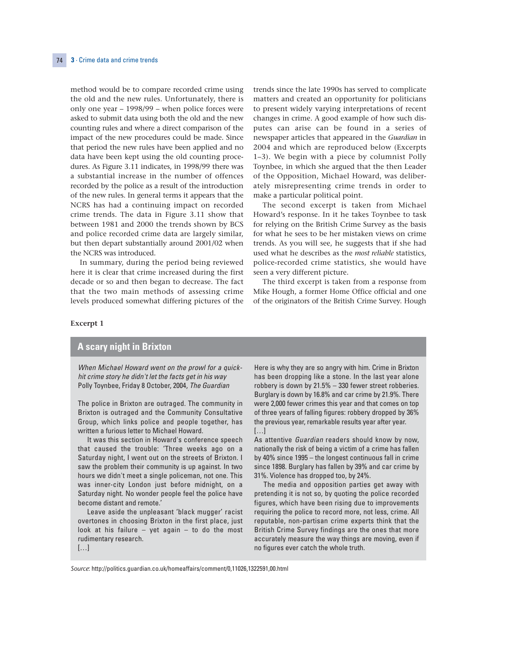method would be to compare recorded crime using the old and the new rules. Unfortunately, there is only one year – 1998/99 – when police forces were asked to submit data using both the old and the new counting rules and where a direct comparison of the impact of the new procedures could be made. Since that period the new rules have been applied and no data have been kept using the old counting procedures. As Figure 3.11 indicates, in 1998/99 there was a substantial increase in the number of offences recorded by the police as a result of the introduction of the new rules. In general terms it appears that the NCRS has had a continuing impact on recorded crime trends. The data in Figure 3.11 show that between 1981 and 2000 the trends shown by BCS and police recorded crime data are largely similar, but then depart substantially around 2001/02 when the NCRS was introduced.

In summary, during the period being reviewed here it is clear that crime increased during the first decade or so and then began to decrease. The fact that the two main methods of assessing crime levels produced somewhat differing pictures of the trends since the late 1990s has served to complicate matters and created an opportunity for politicians to present widely varying interpretations of recent changes in crime. A good example of how such disputes can arise can be found in a series of newspaper articles that appeared in the *Guardian* in 2004 and which are reproduced below (Excerpts 1–3). We begin with a piece by columnist Polly Toynbee, in which she argued that the then Leader of the Opposition, Michael Howard, was deliberately misrepresenting crime trends in order to make a particular political point.

The second excerpt is taken from Michael Howard's response. In it he takes Toynbee to task for relying on the British Crime Survey as the basis for what he sees to be her mistaken views on crime trends. As you will see, he suggests that if she had used what he describes as the *most reliable* statistics, police-recorded crime statistics, she would have seen a very different picture.

The third excerpt is taken from a response from Mike Hough, a former Home Office official and one of the originators of the British Crime Survey. Hough

#### **Excerpt 1**

#### **A scary night in Brixton**

When Michael Howard went on the prowl for a quickhit crime story he didn't let the facts get in his way Polly Toynbee, Friday 8 October, 2004, The Guardian

The police in Brixton are outraged. The community in Brixton is outraged and the Community Consultative Group, which links police and people together, has written a furious letter to Michael Howard.

It was this section in Howard's conference speech that caused the trouble: 'Three weeks ago on a Saturday night, I went out on the streets of Brixton. I saw the problem their community is up against. In two hours we didn't meet a single policeman, not one. This was inner-city London just before midnight, on a Saturday night. No wonder people feel the police have become distant and remote.'

Leave aside the unpleasant 'black mugger' racist overtones in choosing Brixton in the first place, just look at his failure  $-$  yet again  $-$  to do the most rudimentary research. […]

Here is why they are so angry with him. Crime in Brixton has been dropping like a stone. In the last year alone robbery is down by 21.5% – 330 fewer street robberies. Burglary is down by 16.8% and car crime by 21.9%. There were 2,000 fewer crimes this year and that comes on top of three years of falling figures: robbery dropped by 36% the previous year, remarkable results year after year.  $\lceil$   $\rceil$ 

As attentive *Guardian* readers should know by now, nationally the risk of being a victim of a crime has fallen by 40% since 1995 – the longest continuous fall in crime since 1898. Burglary has fallen by 39% and car crime by 31%. Violence has dropped too, by 24%.

The media and opposition parties get away with pretending it is not so, by quoting the police recorded figures, which have been rising due to improvements requiring the police to record more, not less, crime. All reputable, non-partisan crime experts think that the British Crime Survey findings are the ones that more accurately measure the way things are moving, even if no figures ever catch the whole truth.

*Source*: http://politics.guardian.co.uk/homeaffairs/comment/0,11026,1322591,00.html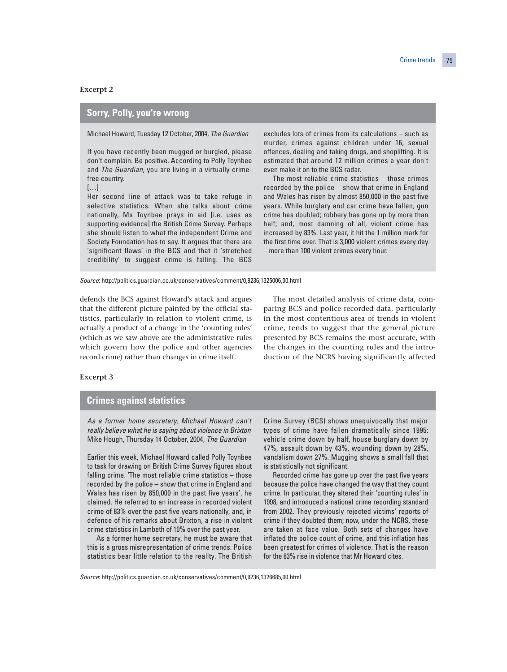#### **Excerpt 2**

#### **Sorry, Polly, you're wrong**

Michael Howard, Tuesday 12 October, 2004, The Guardian

If you have recently been mugged or burgled, please don't complain. Be positive. According to Polly Toynbee and The Guardian, you are living in a virtually crimefree country.

[…]

Her second line of attack was to take refuge in selective statistics. When she talks about crime nationally, Ms Toynbee prays in aid [i.e. uses as supporting evidence] the British Crime Survey. Perhaps she should listen to what the independent Crime and Society Foundation has to say. It argues that there are 'significant flaws' in the BCS and that it 'stretched credibility' to suggest crime is falling. The BCS

excludes lots of crimes from its calculations – such as murder, crimes against children under 16, sexual offences, dealing and taking drugs, and shoplifting. It is estimated that around 12 million crimes a year don't even make it on to the BCS radar.

The most reliable crime statistics – those crimes recorded by the police – show that crime in England and Wales has risen by almost 850,000 in the past five years. While burglary and car crime have fallen, gun crime has doubled; robbery has gone up by more than half; and, most damning of all, violent crime has increased by 83%. Last year, it hit the 1 million mark for the first time ever. That is 3,000 violent crimes every day – more than 100 violent crimes every hour.

Source: http://politics.guardian.co.uk/conservatives/comment/0,9236,1325006,00.html

defends the BCS against Howard's attack and argues that the different picture painted by the official statistics, particularly in relation to violent crime, is actually a product of a change in the 'counting rules' (which as we saw above are the administrative rules which govern how the police and other agencies record crime) rather than changes in crime itself.

The most detailed analysis of crime data, comparing BCS and police recorded data, particularly in the most contentious area of trends in violent crime, tends to suggest that the general picture presented by BCS remains the most accurate, with the changes in the counting rules and the introduction of the NCRS having significantly affected

#### **Excerpt 3**

#### **Crimes against statistics**

As a former home secretary, Michael Howard can't really believe what he is saying about violence in Brixton Mike Hough, Thursday 14 October, 2004, The Guardian

Earlier this week, Michael Howard called Polly Toynbee to task for drawing on British Crime Survey figures about falling crime. 'The most reliable crime statistics – those recorded by the police – show that crime in England and Wales has risen by 850,000 in the past five years', he claimed. He referred to an increase in recorded violent crime of 83% over the past five years nationally, and, in defence of his remarks about Brixton, a rise in violent crime statistics in Lambeth of 10% over the past year.

As a former home secretary, he must be aware that this is a gross misrepresentation of crime trends. Police statistics bear little relation to the reality. The British

Crime Survey (BCS) shows unequivocally that major types of crime have fallen dramatically since 1995: vehicle crime down by half, house burglary down by 47%, assault down by 43%, wounding down by 28%, vandalism down 27%. Mugging shows a small fall that is statistically not significant.

Recorded crime has gone up over the past five years because the police have changed the way that they count crime. In particular, they altered their 'counting rules' in 1998, and introduced a national crime recording standard from 2002. They previously rejected victims' reports of crime if they doubted them; now, under the NCRS, these are taken at face value. Both sets of changes have inflated the police count of crime, and this inflation has been greatest for crimes of violence. That is the reason for the 83% rise in violence that Mr Howard cites.

Source: http://politics.guardian.co.uk/conservatives/comment/0,9236,1326685,00.html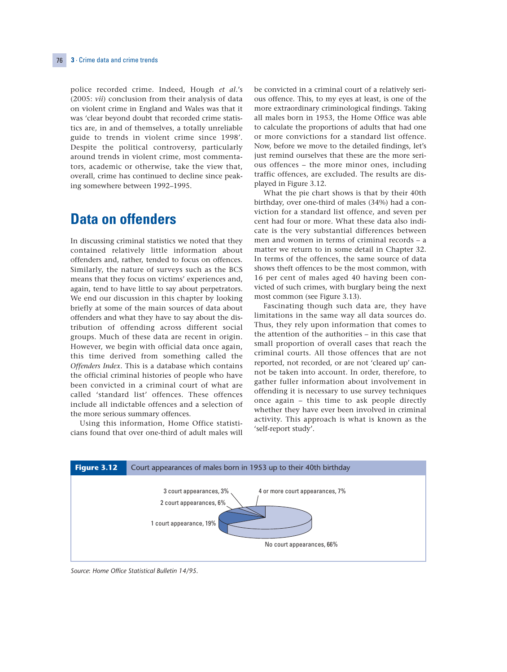police recorded crime. Indeed, Hough *et al.*'s (2005: *vii*) conclusion from their analysis of data on violent crime in England and Wales was that it was 'clear beyond doubt that recorded crime statistics are, in and of themselves, a totally unreliable guide to trends in violent crime since 1998'. Despite the political controversy, particularly around trends in violent crime, most commentators, academic or otherwise, take the view that, overall, crime has continued to decline since peaking somewhere between 1992–1995.

### **Data on offenders**

In discussing criminal statistics we noted that they contained relatively little information about offenders and, rather, tended to focus on offences. Similarly, the nature of surveys such as the BCS means that they focus on victims' experiences and, again, tend to have little to say about perpetrators. We end our discussion in this chapter by looking briefly at some of the main sources of data about offenders and what they have to say about the distribution of offending across different social groups. Much of these data are recent in origin. However, we begin with official data once again, this time derived from something called the *Offenders Index*. This is a database which contains the official criminal histories of people who have been convicted in a criminal court of what are called 'standard list' offences. These offences include all indictable offences and a selection of the more serious summary offences.

Using this information, Home Office statisticians found that over one-third of adult males will be convicted in a criminal court of a relatively serious offence. This, to my eyes at least, is one of the more extraordinary criminological findings. Taking all males born in 1953, the Home Office was able to calculate the proportions of adults that had one or more convictions for a standard list offence. Now, before we move to the detailed findings, let's just remind ourselves that these are the more serious offences – the more minor ones, including traffic offences, are excluded. The results are displayed in Figure 3.12.

What the pie chart shows is that by their 40th birthday, over one-third of males (34%) had a conviction for a standard list offence, and seven per cent had four or more. What these data also indicate is the very substantial differences between men and women in terms of criminal records – a matter we return to in some detail in Chapter 32. In terms of the offences, the same source of data shows theft offences to be the most common, with 16 per cent of males aged 40 having been convicted of such crimes, with burglary being the next most common (see Figure 3.13).

Fascinating though such data are, they have limitations in the same way all data sources do. Thus, they rely upon information that comes to the attention of the authorities – in this case that small proportion of overall cases that reach the criminal courts. All those offences that are not reported, not recorded, or are not 'cleared up' cannot be taken into account. In order, therefore, to gather fuller information about involvement in offending it is necessary to use survey techniques once again – this time to ask people directly whether they have ever been involved in criminal activity. This approach is what is known as the 'self-report study'.



*Source*: *Home Office Statistical Bulletin 14/95*.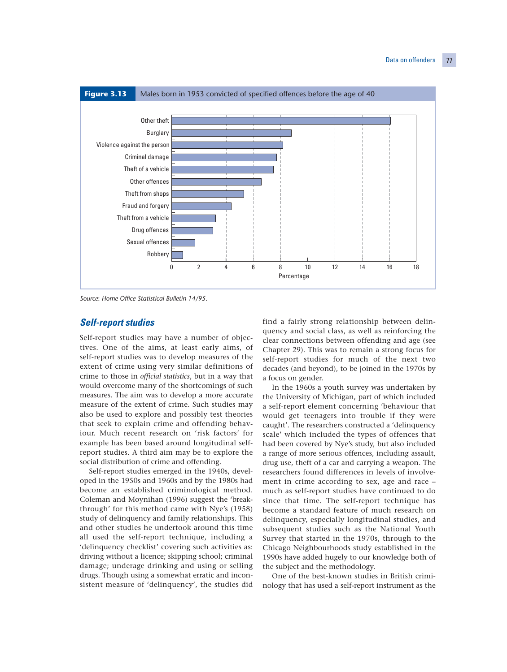

*Source*: *Home Office Statistical Bulletin 14/95*.

#### **Self-report studies**

Self-report studies may have a number of objectives. One of the aims, at least early aims, of self-report studies was to develop measures of the extent of crime using very similar definitions of crime to those in *official statistics*, but in a way that would overcome many of the shortcomings of such measures. The aim was to develop a more accurate measure of the extent of crime. Such studies may also be used to explore and possibly test theories that seek to explain crime and offending behaviour. Much recent research on 'risk factors' for example has been based around longitudinal selfreport studies. A third aim may be to explore the social distribution of crime and offending.

Self-report studies emerged in the 1940s, developed in the 1950s and 1960s and by the 1980s had become an established criminological method. Coleman and Moynihan (1996) suggest the 'breakthrough' for this method came with Nye's (1958) study of delinquency and family relationships. This and other studies he undertook around this time all used the self-report technique, including a 'delinquency checklist' covering such activities as: driving without a licence; skipping school; criminal damage; underage drinking and using or selling drugs. Though using a somewhat erratic and inconsistent measure of 'delinquency', the studies did find a fairly strong relationship between delinquency and social class, as well as reinforcing the clear connections between offending and age (see Chapter 29). This was to remain a strong focus for self-report studies for much of the next two decades (and beyond), to be joined in the 1970s by a focus on gender.

In the 1960s a youth survey was undertaken by the University of Michigan, part of which included a self-report element concerning 'behaviour that would get teenagers into trouble if they were caught'. The researchers constructed a 'delinquency scale' which included the types of offences that had been covered by Nye's study, but also included a range of more serious offences, including assault, drug use, theft of a car and carrying a weapon. The researchers found differences in levels of involvement in crime according to sex, age and race – much as self-report studies have continued to do since that time. The self-report technique has become a standard feature of much research on delinquency, especially longitudinal studies, and subsequent studies such as the National Youth Survey that started in the 1970s, through to the Chicago Neighbourhoods study established in the 1990s have added hugely to our knowledge both of the subject and the methodology.

One of the best-known studies in British criminology that has used a self-report instrument as the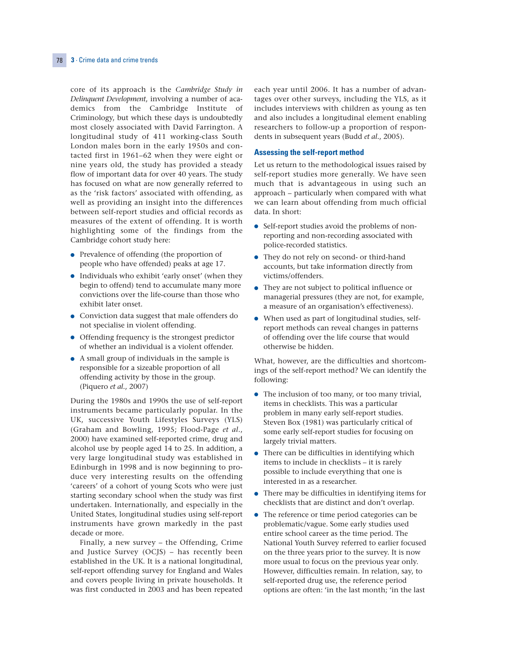core of its approach is the *Cambridge Study in Delinquent Development*, involving a number of academics from the Cambridge Institute of Criminology, but which these days is undoubtedly most closely associated with David Farrington. A longitudinal study of 411 working-class South London males born in the early 1950s and contacted first in 1961–62 when they were eight or nine years old, the study has provided a steady flow of important data for over 40 years. The study has focused on what are now generally referred to as the 'risk factors' associated with offending, as well as providing an insight into the differences between self-report studies and official records as measures of the extent of offending. It is worth highlighting some of the findings from the Cambridge cohort study here:

- Prevalence of offending (the proportion of people who have offended) peaks at age 17.
- Individuals who exhibit 'early onset' (when they begin to offend) tend to accumulate many more convictions over the life-course than those who exhibit later onset.
- Conviction data suggest that male offenders do not specialise in violent offending.
- Offending frequency is the strongest predictor of whether an individual is a violent offender.
- A small group of individuals in the sample is responsible for a sizeable proportion of all offending activity by those in the group. (Piquero *et al.*, 2007)

During the 1980s and 1990s the use of self-report instruments became particularly popular. In the UK, successive Youth Lifestyles Surveys (YLS) (Graham and Bowling, 1995; Flood-Page *et al*., 2000) have examined self-reported crime, drug and alcohol use by people aged 14 to 25. In addition, a very large longitudinal study was established in Edinburgh in 1998 and is now beginning to produce very interesting results on the offending 'careers' of a cohort of young Scots who were just starting secondary school when the study was first undertaken. Internationally, and especially in the United States, longitudinal studies using self-report instruments have grown markedly in the past decade or more.

Finally, a new survey – the Offending, Crime and Justice Survey (OCJS) – has recently been established in the UK. It is a national longitudinal, self-report offending survey for England and Wales and covers people living in private households. It was first conducted in 2003 and has been repeated each year until 2006. It has a number of advantages over other surveys, including the YLS, as it includes interviews with children as young as ten and also includes a longitudinal element enabling researchers to follow-up a proportion of respondents in subsequent years (Budd *et al.*, 2005).

#### **Assessing the self-report method**

Let us return to the methodological issues raised by self-report studies more generally. We have seen much that is advantageous in using such an approach – particularly when compared with what we can learn about offending from much official data. In short:

- Self-report studies avoid the problems of nonreporting and non-recording associated with police-recorded statistics.
- They do not rely on second- or third-hand accounts, but take information directly from victims/offenders.
- They are not subject to political influence or managerial pressures (they are not, for example, a measure of an organisation's effectiveness).
- When used as part of longitudinal studies, selfreport methods can reveal changes in patterns of offending over the life course that would otherwise be hidden.

What, however, are the difficulties and shortcomings of the self-report method? We can identify the following:

- The inclusion of too many, or too many trivial, items in checklists. This was a particular problem in many early self-report studies. Steven Box (1981) was particularly critical of some early self-report studies for focusing on largely trivial matters.
- There can be difficulties in identifying which items to include in checklists – it is rarely possible to include everything that one is interested in as a researcher.
- There may be difficulties in identifying items for checklists that are distinct and don't overlap.
- The reference or time period categories can be problematic/vague. Some early studies used entire school career as the time period. The National Youth Survey referred to earlier focused on the three years prior to the survey. It is now more usual to focus on the previous year only. However, difficulties remain. In relation, say, to self-reported drug use, the reference period options are often: 'in the last month; 'in the last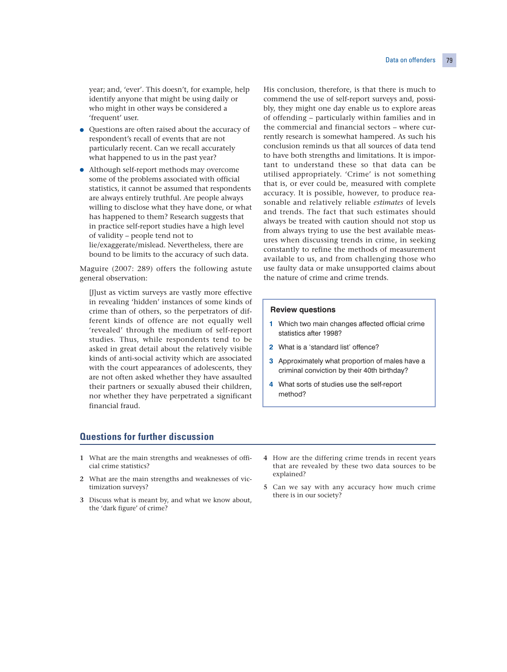year; and, 'ever'. This doesn't, for example, help identify anyone that might be using daily or who might in other ways be considered a 'frequent' user.

- Questions are often raised about the accuracy of respondent's recall of events that are not particularly recent. Can we recall accurately what happened to us in the past year?
- Although self-report methods may overcome some of the problems associated with official statistics, it cannot be assumed that respondents are always entirely truthful. Are people always willing to disclose what they have done, or what has happened to them? Research suggests that in practice self-report studies have a high level of validity – people tend not to lie/exaggerate/mislead. Nevertheless, there are

bound to be limits to the accuracy of such data.

Maguire (2007: 289) offers the following astute general observation:

[J]ust as victim surveys are vastly more effective in revealing 'hidden' instances of some kinds of crime than of others, so the perpetrators of different kinds of offence are not equally well 'revealed' through the medium of self-report studies. Thus, while respondents tend to be asked in great detail about the relatively visible kinds of anti-social activity which are associated with the court appearances of adolescents, they are not often asked whether they have assaulted their partners or sexually abused their children, nor whether they have perpetrated a significant financial fraud.

#### His conclusion, therefore, is that there is much to commend the use of self-report surveys and, possibly, they might one day enable us to explore areas of offending – particularly within families and in the commercial and financial sectors – where currently research is somewhat hampered. As such his conclusion reminds us that all sources of data tend to have both strengths and limitations. It is important to understand these so that data can be utilised appropriately. 'Crime' is not something that is, or ever could be, measured with complete accuracy. It is possible, however, to produce reasonable and relatively reliable *estimates* of levels and trends. The fact that such estimates should always be treated with caution should not stop us from always trying to use the best available measures when discussing trends in crime, in seeking constantly to refine the methods of measurement available to us, and from challenging those who use faulty data or make unsupported claims about the nature of crime and crime trends.

#### **Review questions**

- **1** Which two main changes affected official crime statistics after 1998?
- **2** What is a 'standard list' offence?
- **3** Approximately what proportion of males have a criminal conviction by their 40th birthday?
- **4** What sorts of studies use the self-report method?

#### **Questions for further discussion**

- **1** What are the main strengths and weaknesses of official crime statistics?
- **2** What are the main strengths and weaknesses of victimization surveys?
- **3** Discuss what is meant by, and what we know about, the 'dark figure' of crime?
- **4** How are the differing crime trends in recent years that are revealed by these two data sources to be explained?
- **5** Can we say with any accuracy how much crime there is in our society?